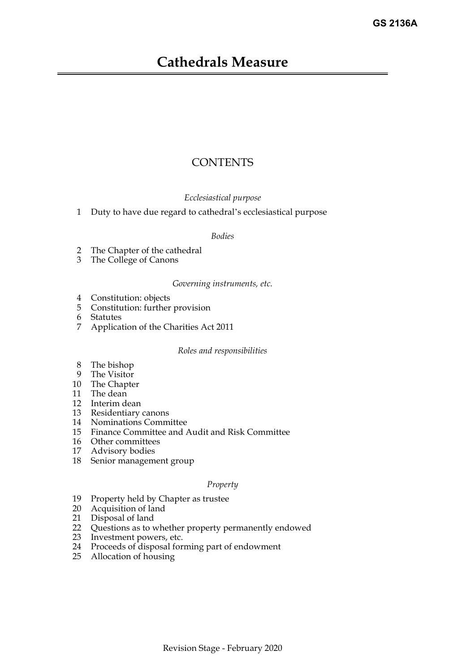# **Cathedrals Measure**

# **CONTENTS**

### *Ecclesiastical purpose*

[1 Duty to have due regard to cathedral's ecclesiastical purpose](#page-4-0)

### *Bodies*

- [2 The Chapter of the cathedral](#page-4-1)
- [3 The College of Canons](#page-4-2)

### *Governing instruments, etc.*

- [4 Constitution: objects](#page-5-0)
- [5 Constitution: further provision](#page-5-1)
- [6 Statutes](#page-7-0)
- [7 Application of the Charities Act 2011](#page-7-1)

### *Roles and responsibilities*

- [8 The bishop](#page-8-0)
- [9 The Visitor](#page-8-1)
- [10 The Chapter](#page-9-0)
- [11 The dean](#page-9-1)
- [12 Interim dean](#page-10-0)
- [13 Residentiary canons](#page-11-0)
- [14 Nominations Committee](#page-12-0)
- [15 Finance Committee and Audit and Risk Committee](#page-12-1)
- [16 Other committees](#page-13-0)
- [17 Advisory bodies](#page-13-1)
- [18 Senior management group](#page-13-2)

#### *Property*

- [19 Property held by Chapter as trustee](#page-14-0)
- [20 Acquisition of land](#page-14-1)
- [21 Disposal of land](#page-15-0)
- [22 Questions as to whether property permanently endowed](#page-16-0)
- [23 Investment powers, etc.](#page-16-1)
- [24 Proceeds of disposal forming part of endowment](#page-17-0)
- 25 [Allocation of housing](#page-17-1)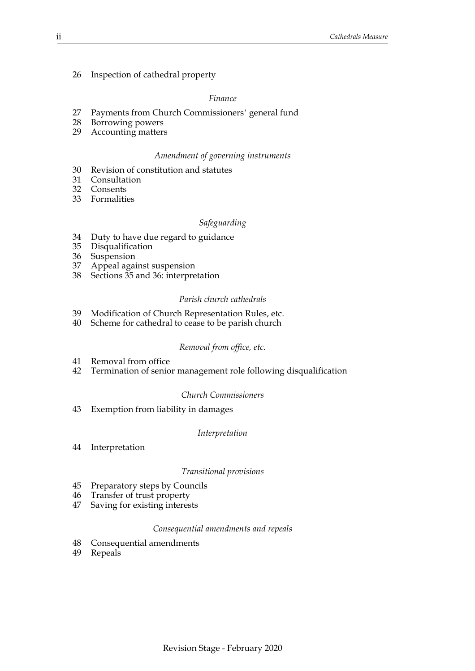[26 Inspection of cathedral property](#page-17-2)

#### *Finance*

- [27 Payments from Church Commissioners' general fund](#page-18-0)
- [28 Borrowing powers](#page-19-0)
- [29 Accounting matters](#page-19-1)

#### *Amendment of governing instruments*

- [30 Revision of constitution and statutes](#page-19-2)
- [31 Consultation](#page-20-0)
- [32 Consents](#page-20-1)
- [33 Formalities](#page-20-2)

#### *Safeguarding*

- [34 Duty to have due regard to guidance](#page-21-0)
- [35 Disqualification](#page-21-1)
- [36 Suspension](#page-22-0)
- [37 Appeal against suspension](#page-23-0)
- 38 [Sections](#page-23-1) [35](#page-21-1) and [36](#page-22-0): interpretation

#### *Parish church cathedrals*

- [39 Modification of Church Representation Rules, etc.](#page-23-2)
- [40 Scheme for cathedral to cease to be parish church](#page-24-0)

#### *Removal from office, etc.*

- [41 Removal from office](#page-24-1)
- [42 Termination of senior management role following disqualification](#page-26-0)

#### *Church Commissioners*

[43 Exemption from liability in damages](#page-26-1)

#### *Interpretation*

[44 Interpretation](#page-26-2)

#### *Transitional provisions*

- [45 Preparatory steps by Councils](#page-28-0)
- [46 Transfer of trust property](#page-29-0)
- [47 Saving for existing interests](#page-29-1)

#### *Consequential amendments and repeals*

- [48 Consequential amendments](#page-29-2)
- 49 [Repeals](#page-29-3)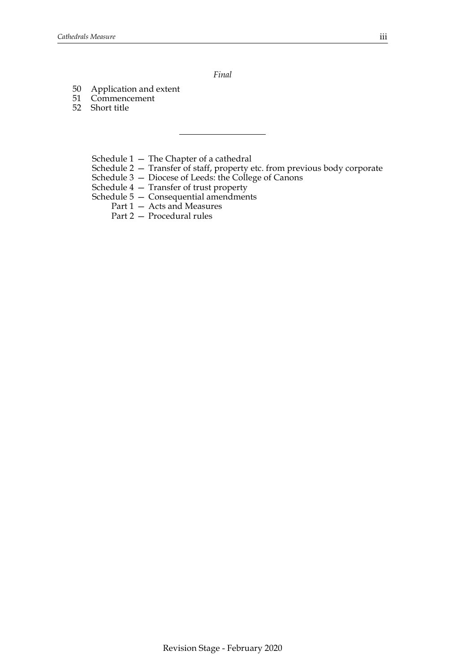*Final*

- [50 Application and extent](#page-30-0)
- [51 Commencement](#page-30-1)
- [52 Short title](#page-32-0)
	- [Schedule 1 The Chapter of a cathedral](#page-33-0)
	- [Schedule 2 Transfer of staff, property etc. from previous body corporate](#page-36-0)
	- [Schedule 3 Diocese of Leeds: the College of Canons](#page-38-0)
	- [Schedule 4 Transfer of trust property](#page-39-0)
	- [Schedule 5 Consequential amendments](#page-40-0)
		- Part 1 Acts and Measures
		- Part 2 Procedural rules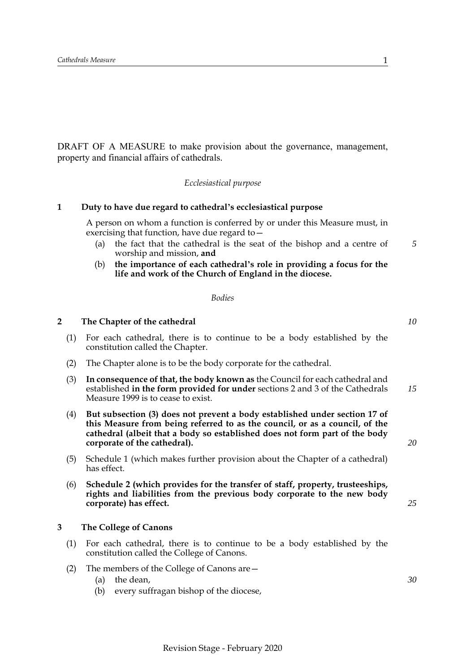DRAFT OF A MEASURE to make provision about the governance, management, property and financial affairs of cathedrals.

*Ecclesiastical purpose*

### **1 Duty to have due regard to cathedral's ecclesiastical purpose**

<span id="page-4-0"></span>A person on whom a function is conferred by or under this Measure must, in exercising that function, have due regard to—

- (a) the fact that the cathedral is the seat of the bishop and a centre of worship and mission, **and** *5*
- (b) **the importance of each cathedral's role in providing a focus for the life and work of the Church of England in the diocese.**

#### *Bodies*

### <span id="page-4-1"></span>**2 The Chapter of the cathedral**

- (1) For each cathedral, there is to continue to be a body established by the constitution called the Chapter.
- (2) The Chapter alone is to be the body corporate for the cathedral.
- (3) **In consequence of that, the body known as** the Council for each cathedral and established **in the form provided for under** sections 2 and 3 of the Cathedrals Measure 1999 is to cease to exist. *15*
- (4) **But subsection (3) does not prevent a body established under section 17 of this Measure from being referred to as the council, or as a council, of the cathedral (albeit that a body so established does not form part of the body corporate of the cathedral).**
- (5) Schedule [1](#page-33-0) (which makes further provision about the Chapter of a cathedral) has effect.
- (6) **Schedule [2](#page-36-0) (which provides for the transfer of staff, property, trusteeships, rights and liabilities from the previous body corporate to the new body corporate) has effect.**

#### <span id="page-4-2"></span>**3 The College of Canons**

- (1) For each cathedral, there is to continue to be a body established by the constitution called the College of Canons.
- (2) The members of the College of Canons are—
	- (a) the dean,
	- (b) every suffragan bishop of the diocese,

*30*

*10*

*20*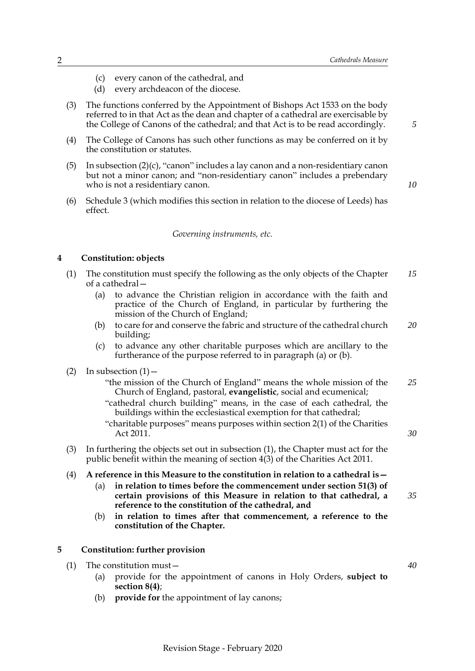- (c) every canon of the cathedral, and
- (d) every archdeacon of the diocese.
- (3) The functions conferred by the Appointment of Bishops Act 1533 on the body referred to in that Act as the dean and chapter of a cathedral are exercisable by the College of Canons of the cathedral; and that Act is to be read accordingly.
- (4) The College of Canons has such other functions as may be conferred on it by the constitution or statutes.
- (5) In subsection (2)(c), "canon" includes a lay canon and a non-residentiary canon but not a minor canon; and "non-residentiary canon" includes a prebendary who is not a residentiary canon.
- (6) Schedule [3](#page-38-0) (which modifies this section in relation to the diocese of Leeds) has effect.

#### *Governing instruments, etc.*

### <span id="page-5-0"></span>**4 Constitution: objects**

- (1) The constitution must specify the following as the only objects of the Chapter of a cathedral— *15*
	- (a) to advance the Christian religion in accordance with the faith and practice of the Church of England, in particular by furthering the mission of the Church of England;
	- (b) to care for and conserve the fabric and structure of the cathedral church building; *20*
	- (c) to advance any other charitable purposes which are ancillary to the furtherance of the purpose referred to in paragraph (a) or (b).
- (2) In subsection  $(1)$  -
	- "the mission of the Church of England" means the whole mission of the Church of England, pastoral, **evangelistic**, social and ecumenical; *25*
	- "cathedral church building" means, in the case of each cathedral, the buildings within the ecclesiastical exemption for that cathedral;
	- "charitable purposes" means purposes within section 2(1) of the Charities Act 2011.
- (3) In furthering the objects set out in subsection (1), the Chapter must act for the public benefit within the meaning of section 4(3) of the Charities Act 2011.
- (4) **A reference in this Measure to the constitution in relation to a cathedral is—**
	- (a) **in relation to times before the commencement under section 51(3) of certain provisions of this Measure in relation to that cathedral, a reference to the constitution of the cathedral, and** *35*
	- (b) **in relation to times after that commencement, a reference to the constitution of the Chapter.**

### <span id="page-5-1"></span>**5 Constitution: further provision**

- (1) The constitution must—
	- (a) provide for the appointment of canons in Holy Orders, **subject to section 8(4)**;
	- (b) **provide for** the appointment of lay canons;

*5*

*10*

*30*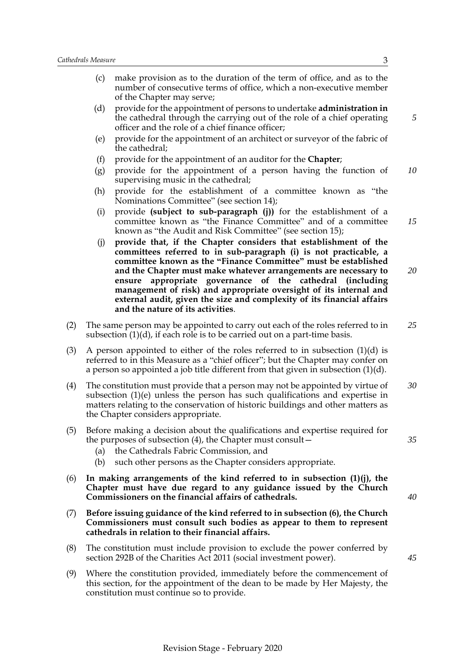- (c) make provision as to the duration of the term of office, and as to the number of consecutive terms of office, which a non-executive member of the Chapter may serve;
- (d) provide for the appointment of persons to undertake **administration in** the cathedral through the carrying out of the role of a chief operating officer and the role of a chief finance officer;
- (e) provide for the appointment of an architect or surveyor of the fabric of the cathedral;
- (f) provide for the appointment of an auditor for the **Chapter**;
- (g) provide for the appointment of a person having the function of supervising music in the cathedral; *10*
- (h) provide for the establishment of a committee known as "the Nominations Committee" (see section 14);
- (i) provide **(subject to sub-paragraph (j))** for the establishment of a committee known as "the Finance Committee" and of a committee known as "the Audit and Risk Committee" (see section 15);
- (j) **provide that, if the Chapter considers that establishment of the committees referred to in sub-paragraph (i) is not practicable, a committee known as the "Finance Committee" must be established and the Chapter must make whatever arrangements are necessary to ensure appropriate governance of the cathedral (including management of risk) and appropriate oversight of its internal and external audit, given the size and complexity of its financial affairs and the nature of its activities**. *20*
- (2) The same person may be appointed to carry out each of the roles referred to in subsection (1)(d), if each role is to be carried out on a part-time basis. *25*
- (3) A person appointed to either of the roles referred to in subsection  $(1)(d)$  is referred to in this Measure as a "chief officer"; but the Chapter may confer on a person so appointed a job title different from that given in subsection (1)(d).
- (4) The constitution must provide that a person may not be appointed by virtue of subsection (1)(e) unless the person has such qualifications and expertise in matters relating to the conservation of historic buildings and other matters as the Chapter considers appropriate. *30*
- (5) Before making a decision about the qualifications and expertise required for the purposes of subsection (4), the Chapter must consult—
	- (a) the Cathedrals Fabric Commission, and
	- (b) such other persons as the Chapter considers appropriate.
- (6) **In making arrangements of the kind referred to in subsection (1)(j), the Chapter must have due regard to any guidance issued by the Church Commissioners on the financial affairs of cathedrals.**
- (7) **Before issuing guidance of the kind referred to in subsection (6), the Church Commissioners must consult such bodies as appear to them to represent cathedrals in relation to their financial affairs.**
- (8) The constitution must include provision to exclude the power conferred by section 292B of the Charities Act 2011 (social investment power).
- (9) Where the constitution provided, immediately before the commencement of this section, for the appointment of the dean to be made by Her Majesty, the constitution must continue so to provide.

*15*

*45*

*35*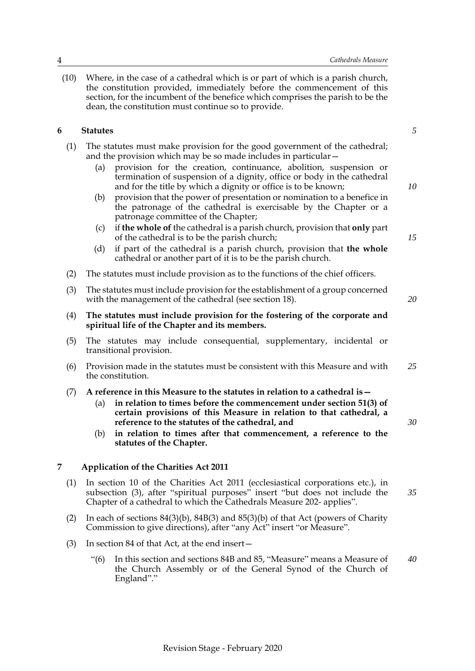(10) Where, in the case of a cathedral which is or part of which is a parish church, the constitution provided, immediately before the commencement of this section, for the incumbent of the benefice which comprises the parish to be the dean, the constitution must continue so to provide.

### <span id="page-7-0"></span>**6 Statutes**

- (1) The statutes must make provision for the good government of the cathedral; and the provision which may be so made includes in particular—
	- (a) provision for the creation, continuance, abolition, suspension or termination of suspension of a dignity, office or body in the cathedral and for the title by which a dignity or office is to be known;
	- (b) provision that the power of presentation or nomination to a benefice in the patronage of the cathedral is exercisable by the Chapter or a patronage committee of the Chapter;
	- (c) if **the whole of** the cathedral is a parish church, provision that **only** part of the cathedral is to be the parish church;
	- (d) if part of the cathedral is a parish church, provision that **the whole** cathedral or another part of it is to be the parish church.
- (2) The statutes must include provision as to the functions of the chief officers.
- (3) The statutes must include provision for the establishment of a group concerned with the management of the cathedral (see section 18).
- (4) **The statutes must include provision for the fostering of the corporate and spiritual life of the Chapter and its members.**
- (5) The statutes may include consequential, supplementary, incidental or transitional provision.
- (6) Provision made in the statutes must be consistent with this Measure and with the constitution. *25*

### (7) **A reference in this Measure to the statutes in relation to a cathedral is—**

- (a) **in relation to times before the commencement under section 51(3) of certain provisions of this Measure in relation to that cathedral, a reference to the statutes of the cathedral, and**
- (b) **in relation to times after that commencement, a reference to the statutes of the Chapter.**

### <span id="page-7-1"></span>**7 Application of the Charities Act 2011**

- (1) In section 10 of the Charities Act 2011 (ecclesiastical corporations etc.), in subsection (3), after "spiritual purposes" insert "but does not include the Chapter of a cathedral to which the Cathedrals Measure 202- applies". *35*
- (2) In each of sections 84(3)(b), 84B(3) and 85(3)(b) of that Act (powers of Charity Commission to give directions), after "any Act" insert "or Measure".
- (3) In section 84 of that Act, at the end insert—
	- "(6) In this section and sections 84B and 85, "Measure" means a Measure of the Church Assembly or of the General Synod of the Church of England"." *40*

*10*

*15*

*20*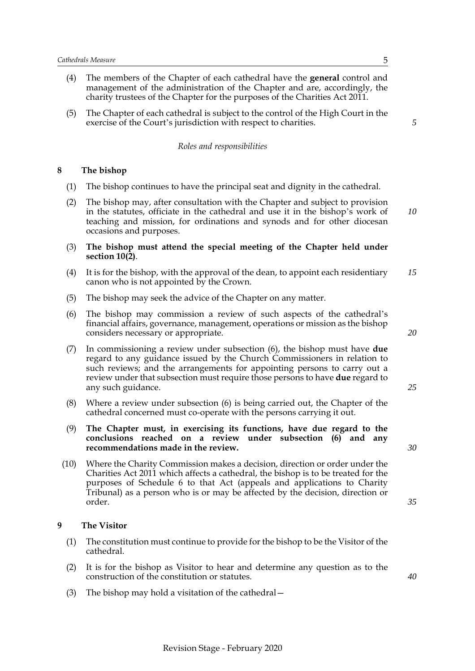- (4) The members of the Chapter of each cathedral have the **general** control and management of the administration of the Chapter and are, accordingly, the charity trustees of the Chapter for the purposes of the Charities Act 2011.
- (5) The Chapter of each cathedral is subject to the control of the High Court in the exercise of the Court's jurisdiction with respect to charities.

### *Roles and responsibilities*

### <span id="page-8-0"></span>**8 The bishop**

- (1) The bishop continues to have the principal seat and dignity in the cathedral.
- (2) The bishop may, after consultation with the Chapter and subject to provision in the statutes, officiate in the cathedral and use it in the bishop's work of teaching and mission, for ordinations and synods and for other diocesan occasions and purposes. *10*
- (3) **The bishop must attend the special meeting of the Chapter held under section 10(2)**.
- (4) It is for the bishop, with the approval of the dean, to appoint each residentiary canon who is not appointed by the Crown. *15*
- (5) The bishop may seek the advice of the Chapter on any matter.
- (6) The bishop may commission a review of such aspects of the cathedral's financial affairs, governance, management, operations or mission as the bishop considers necessary or appropriate.
- (7) In commissioning a review under subsection (6), the bishop must have **due** regard to any guidance issued by the Church Commissioners in relation to such reviews; and the arrangements for appointing persons to carry out a review under that subsection must require those persons to have **due** regard to any such guidance.
- (8) Where a review under subsection (6) is being carried out, the Chapter of the cathedral concerned must co-operate with the persons carrying it out.
- (9) **The Chapter must, in exercising its functions, have due regard to the conclusions reached on a review under subsection (6) and any recommendations made in the review.**
- (10) Where the Charity Commission makes a decision, direction or order under the Charities Act 2011 which affects a cathedral, the bishop is to be treated for the purposes of Schedule 6 to that Act (appeals and applications to Charity Tribunal) as a person who is or may be affected by the decision, direction or order.

#### <span id="page-8-1"></span>**9 The Visitor**

- (1) The constitution must continue to provide for the bishop to be the Visitor of the cathedral.
- (2) It is for the bishop as Visitor to hear and determine any question as to the construction of the constitution or statutes.
- (3) The bishop may hold a visitation of the cathedral—

*5*

*20*

*35*

*30*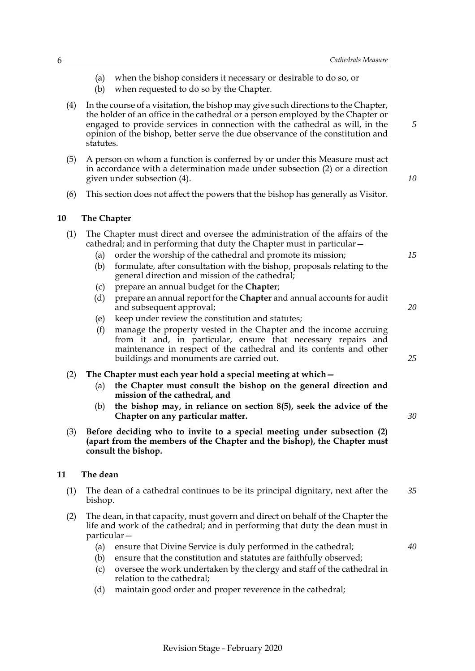- (a) when the bishop considers it necessary or desirable to do so, or
- (b) when requested to do so by the Chapter.
- (4) In the course of a visitation, the bishop may give such directions to the Chapter, the holder of an office in the cathedral or a person employed by the Chapter or engaged to provide services in connection with the cathedral as will, in the opinion of the bishop, better serve the due observance of the constitution and statutes.
- (5) A person on whom a function is conferred by or under this Measure must act in accordance with a determination made under subsection (2) or a direction given under subsection (4).
- <span id="page-9-0"></span>(6) This section does not affect the powers that the bishop has generally as Visitor.

### **10 The Chapter**

- (1) The Chapter must direct and oversee the administration of the affairs of the cathedral; and in performing that duty the Chapter must in particular—
	- (a) order the worship of the cathedral and promote its mission;
	- (b) formulate, after consultation with the bishop, proposals relating to the general direction and mission of the cathedral;
	- (c) prepare an annual budget for the **Chapter**;
	- (d) prepare an annual report for the **Chapter** and annual accounts for audit and subsequent approval;
	- (e) keep under review the constitution and statutes;
	- (f) manage the property vested in the Chapter and the income accruing from it and, in particular, ensure that necessary repairs and maintenance in respect of the cathedral and its contents and other buildings and monuments are carried out.

### (2) **The Chapter must each year hold a special meeting at which—**

- (a) **the Chapter must consult the bishop on the general direction and mission of the cathedral, and**
- (b) **the bishop may, in reliance on section 8(5), seek the advice of the Chapter on any particular matter.**
- (3) **Before deciding who to invite to a special meeting under subsection (2) (apart from the members of the Chapter and the bishop), the Chapter must consult the bishop.**

### <span id="page-9-1"></span>**11 The dean**

- (1) The dean of a cathedral continues to be its principal dignitary, next after the bishop. *35*
- (2) The dean, in that capacity, must govern and direct on behalf of the Chapter the life and work of the cathedral; and in performing that duty the dean must in particular—
	- (a) ensure that Divine Service is duly performed in the cathedral;
	- (b) ensure that the constitution and statutes are faithfully observed;
	- (c) oversee the work undertaken by the clergy and staff of the cathedral in relation to the cathedral;
	- (d) maintain good order and proper reverence in the cathedral;

Revision Stage - February 2020

*40*

*25*

*5*

*10*

*15*

*20*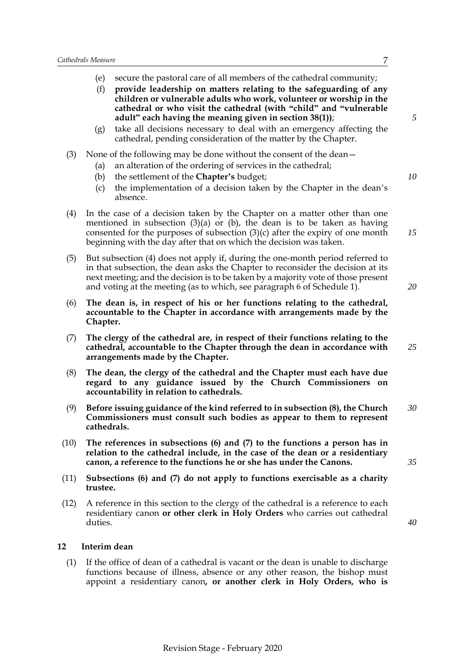- (e) secure the pastoral care of all members of the cathedral community;
- (f) **provide leadership on matters relating to the safeguarding of any children or vulnerable adults who work, volunteer or worship in the cathedral or who visit the cathedral (with "child" and "vulnerable adult" each having the meaning given in section [38\(](#page-23-3)1))**;
- (g) take all decisions necessary to deal with an emergency affecting the cathedral, pending consideration of the matter by the Chapter.
- (3) None of the following may be done without the consent of the dean—
	- (a) an alteration of the ordering of services in the cathedral;
	- (b) the settlement of the **Chapter's** budget;
	- (c) the implementation of a decision taken by the Chapter in the dean's absence.
- (4) In the case of a decision taken by the Chapter on a matter other than one mentioned in subsection  $(3)(a)$  or  $(b)$ , the dean is to be taken as having consented for the purposes of subsection  $(3)(c)$  after the expiry of one month beginning with the day after that on which the decision was taken.
- (5) But subsection (4) does not apply if, during the one-month period referred to in that subsection, the dean asks the Chapter to reconsider the decision at its next meeting; and the decision is to be taken by a majority vote of those present and voting at the meeting (as to which, see paragraph 6 of Schedule [1](#page-33-0)).
- (6) **The dean is, in respect of his or her functions relating to the cathedral, accountable to the Chapter in accordance with arrangements made by the Chapter.**
- (7) **The clergy of the cathedral are, in respect of their functions relating to the cathedral, accountable to the Chapter through the dean in accordance with arrangements made by the Chapter.**
- (8) **The dean, the clergy of the cathedral and the Chapter must each have due regard to any guidance issued by the Church Commissioners on accountability in relation to cathedrals.**
- (9) **Before issuing guidance of the kind referred to in subsection (8), the Church Commissioners must consult such bodies as appear to them to represent cathedrals.** *30*
- (10) **The references in subsections (6) and (7) to the functions a person has in relation to the cathedral include, in the case of the dean or a residentiary canon, a reference to the functions he or she has under the Canons.**
- (11) **Subsections (6) and (7) do not apply to functions exercisable as a charity trustee.**
- (12) A reference in this section to the clergy of the cathedral is a reference to each residentiary canon **or other clerk in Holy Orders** who carries out cathedral duties.
- *40*

### <span id="page-10-0"></span>**12 Interim dean**

(1) If the office of dean of a cathedral is vacant or the dean is unable to discharge functions because of illness, absence or any other reason, the bishop must appoint a residentiary canon**, or another clerk in Holy Orders, who is** *10*

*15*

*20*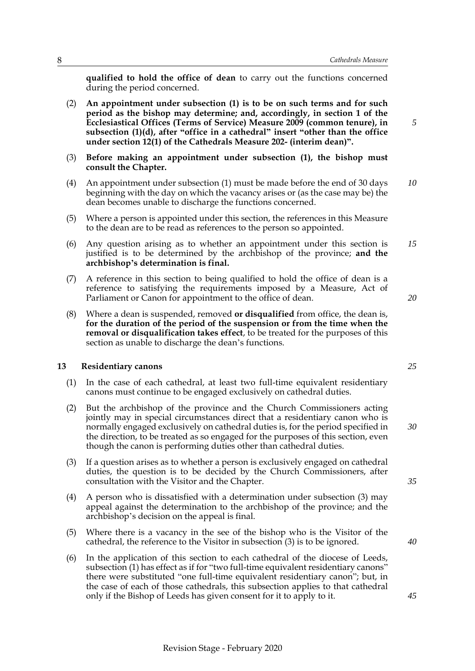**qualified to hold the office of dean** to carry out the functions concerned during the period concerned.

- (2) **An appointment under subsection (1) is to be on such terms and for such period as the bishop may determine; and, accordingly, in section 1 of the Ecclesiastical Offices (Terms of Service) Measure 2009 (common tenure), in subsection (1)(d), after "office in a cathedral" insert "other than the office under section 12(1) of the Cathedrals Measure 202- (interim dean)".**
- (3) **Before making an appointment under subsection (1), the bishop must consult the Chapter.**
- (4) An appointment under subsection (1) must be made before the end of 30 days beginning with the day on which the vacancy arises or (as the case may be) the dean becomes unable to discharge the functions concerned. *10*
- (5) Where a person is appointed under this section, the references in this Measure to the dean are to be read as references to the person so appointed.
- (6) Any question arising as to whether an appointment under this section is justified is to be determined by the archbishop of the province; **and the archbishop's determination is final.** *15*
- (7) A reference in this section to being qualified to hold the office of dean is a reference to satisfying the requirements imposed by a Measure, Act of Parliament or Canon for appointment to the office of dean.
- (8) Where a dean is suspended, removed **or disqualified** from office, the dean is, **for the duration of the period of the suspension or from the time when the removal or disqualification takes effect**, to be treated for the purposes of this section as unable to discharge the dean's functions.

### <span id="page-11-0"></span>**13 Residentiary canons**

- (1) In the case of each cathedral, at least two full-time equivalent residentiary canons must continue to be engaged exclusively on cathedral duties.
- (2) But the archbishop of the province and the Church Commissioners acting jointly may in special circumstances direct that a residentiary canon who is normally engaged exclusively on cathedral duties is, for the period specified in the direction, to be treated as so engaged for the purposes of this section, even though the canon is performing duties other than cathedral duties.
- (3) If a question arises as to whether a person is exclusively engaged on cathedral duties, the question is to be decided by the Church Commissioners, after consultation with the Visitor and the Chapter.
- (4) A person who is dissatisfied with a determination under subsection (3) may appeal against the determination to the archbishop of the province; and the archbishop's decision on the appeal is final.
- (5) Where there is a vacancy in the see of the bishop who is the Visitor of the cathedral, the reference to the Visitor in subsection (3) is to be ignored.
- (6) In the application of this section to each cathedral of the diocese of Leeds, subsection (1) has effect as if for "two full-time equivalent residentiary canons" there were substituted "one full-time equivalent residentiary canon"; but, in the case of each of those cathedrals, this subsection applies to that cathedral only if the Bishop of Leeds has given consent for it to apply to it.

*40*

*25*

*20*

*5*

*30*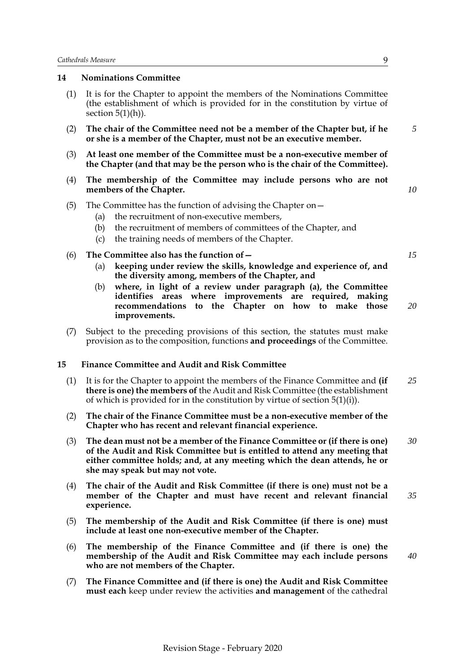### <span id="page-12-0"></span>**14 Nominations Committee**

- (1) It is for the Chapter to appoint the members of the Nominations Committee (the establishment of which is provided for in the constitution by virtue of section  $5(1)(h)$ ).
- (2) **The chair of the Committee need not be a member of the Chapter but, if he or she is a member of the Chapter, must not be an executive member.**
- (3) **At least one member of the Committee must be a non-executive member of the Chapter (and that may be the person who is the chair of the Committee).**
- (4) **The membership of the Committee may include persons who are not members of the Chapter.**
- (5) The Committee has the function of advising the Chapter on—
	- (a) the recruitment of non-executive members,
	- (b) the recruitment of members of committees of the Chapter, and
	- (c) the training needs of members of the Chapter.
- (6) **The Committee also has the function of—**
	- (a) **keeping under review the skills, knowledge and experience of, and the diversity among, members of the Chapter, and**
	- (b) **where, in light of a review under paragraph (a), the Committee identifies areas where improvements are required, making recommendations to the Chapter on how to make those improvements.**
- (7) Subject to the preceding provisions of this section, the statutes must make provision as to the composition, functions **and proceedings** of the Committee.

### <span id="page-12-1"></span>**15 Finance Committee and Audit and Risk Committee**

- (1) It is for the Chapter to appoint the members of the Finance Committee and **(if there is one) the members of** the Audit and Risk Committee (the establishment of which is provided for in the constitution by virtue of section 5(1)(i)). *25*
- (2) **The chair of the Finance Committee must be a non-executive member of the Chapter who has recent and relevant financial experience.**
- (3) **The dean must not be a member of the Finance Committee or (if there is one) of the Audit and Risk Committee but is entitled to attend any meeting that either committee holds; and, at any meeting which the dean attends, he or she may speak but may not vote.** *30*
- (4) **The chair of the Audit and Risk Committee (if there is one) must not be a member of the Chapter and must have recent and relevant financial experience.** *35*
- (5) **The membership of the Audit and Risk Committee (if there is one) must include at least one non-executive member of the Chapter.**
- (6) **The membership of the Finance Committee and (if there is one) the membership of the Audit and Risk Committee may each include persons who are not members of the Chapter.**
- (7) **The Finance Committee and (if there is one) the Audit and Risk Committee must each** keep under review the activities **and management** of the cathedral

*5*

*10*

*15*

*20*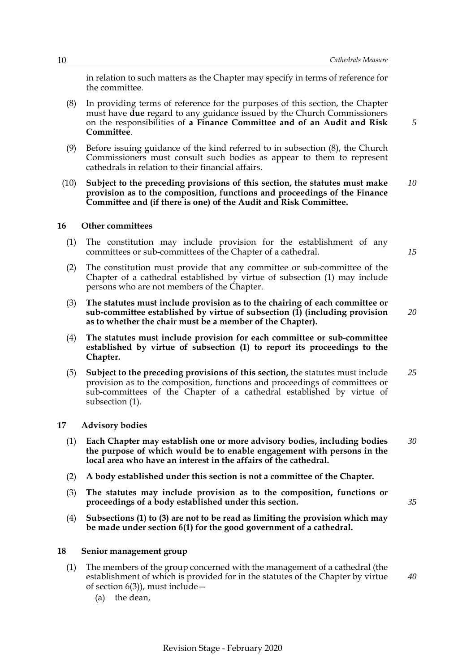*15*

in relation to such matters as the Chapter may specify in terms of reference for the committee.

- (8) In providing terms of reference for the purposes of this section, the Chapter must have **due** regard to any guidance issued by the Church Commissioners on the responsibilities of **a Finance Committee and of an Audit and Risk Committee**.
- (9) Before issuing guidance of the kind referred to in subsection (8), the Church Commissioners must consult such bodies as appear to them to represent cathedrals in relation to their financial affairs.
- (10) **Subject to the preceding provisions of this section, the statutes must make provision as to the composition, functions and proceedings of the Finance Committee and (if there is one) of the Audit and Risk Committee.** *10*

#### <span id="page-13-0"></span>**16 Other committees**

- (1) The constitution may include provision for the establishment of any committees or sub-committees of the Chapter of a cathedral.
- (2) The constitution must provide that any committee or sub-committee of the Chapter of a cathedral established by virtue of subsection (1) may include persons who are not members of the Chapter.
- (3) **The statutes must include provision as to the chairing of each committee or sub-committee established by virtue of subsection (1) (including provision as to whether the chair must be a member of the Chapter).** *20*
- (4) **The statutes must include provision for each committee or sub-committee established by virtue of subsection (1) to report its proceedings to the Chapter.**
- (5) **Subject to the preceding provisions of this section,** the statutes must include provision as to the composition, functions and proceedings of committees or sub-committees of the Chapter of a cathedral established by virtue of subsection (1). *25*
- <span id="page-13-1"></span>**17 Advisory bodies**
	- (1) **Each Chapter may establish one or more advisory bodies, including bodies the purpose of which would be to enable engagement with persons in the local area who have an interest in the affairs of the cathedral.** *30*
	- (2) **A body established under this section is not a committee of the Chapter.**
	- (3) **The statutes may include provision as to the composition, functions or proceedings of a body established under this section.**
	- (4) **Subsections (1) to (3) are not to be read as limiting the provision which may be made under section 6(1) for the good government of a cathedral.**

#### <span id="page-13-2"></span>**18 Senior management group**

- (1) The members of the group concerned with the management of a cathedral (the establishment of which is provided for in the statutes of the Chapter by virtue of section  $6(3)$ , must include –
	- (a) the dean,

Revision Stage - February 2020

*40*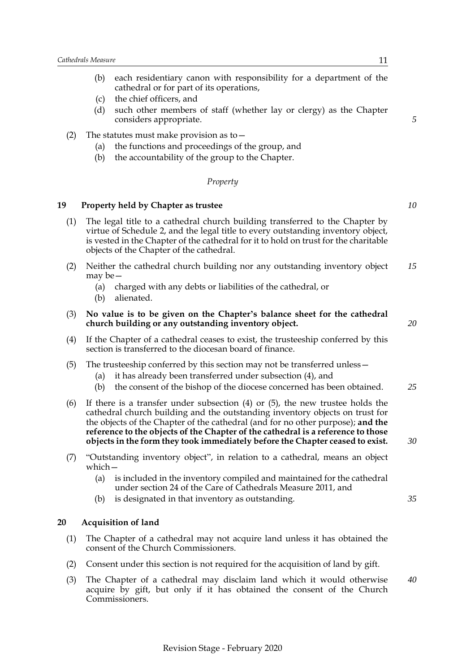- (b) each residentiary canon with responsibility for a department of the cathedral or for part of its operations,
- (c) the chief officers, and
- (d) such other members of staff (whether lay or clergy) as the Chapter considers appropriate.
- (2) The statutes must make provision as to  $-$ 
	- (a) the functions and proceedings of the group, and
	- (b) the accountability of the group to the Chapter.

### *Property*

### <span id="page-14-0"></span>**19 Property held by Chapter as trustee**

- (1) The legal title to a cathedral church building transferred to the Chapter by virtue of Schedule [2](#page-36-0), and the legal title to every outstanding inventory object, is vested in the Chapter of the cathedral for it to hold on trust for the charitable objects of the Chapter of the cathedral.
- (2) Neither the cathedral church building nor any outstanding inventory object may be— *15*
	- (a) charged with any debts or liabilities of the cathedral, or
	- (b) alienated.
- (3) **No value is to be given on the Chapter's balance sheet for the cathedral church building or any outstanding inventory object.**
- (4) If the Chapter of a cathedral ceases to exist, the trusteeship conferred by this section is transferred to the diocesan board of finance.
- (5) The trusteeship conferred by this section may not be transferred unless—
	- (a) it has already been transferred under subsection (4), and
	- (b) the consent of the bishop of the diocese concerned has been obtained. *25*
- (6) If there is a transfer under subsection (4) or (5), the new trustee holds the cathedral church building and the outstanding inventory objects on trust for the objects of the Chapter of the cathedral (and for no other purpose); **and the reference to the objects of the Chapter of the cathedral is a reference to those objects in the form they took immediately before the Chapter ceased to exist.**
- (7) "Outstanding inventory object", in relation to a cathedral, means an object which—
	- (a) is included in the inventory compiled and maintained for the cathedral under section 24 of the Care of Cathedrals Measure 2011, and
	- (b) is designated in that inventory as outstanding.

### <span id="page-14-1"></span>**20 Acquisition of land**

- (1) The Chapter of a cathedral may not acquire land unless it has obtained the consent of the Church Commissioners.
- (2) Consent under this section is not required for the acquisition of land by gift.
- (3) The Chapter of a cathedral may disclaim land which it would otherwise acquire by gift, but only if it has obtained the consent of the Church Commissioners.

*10*

*5*

*20*

*35*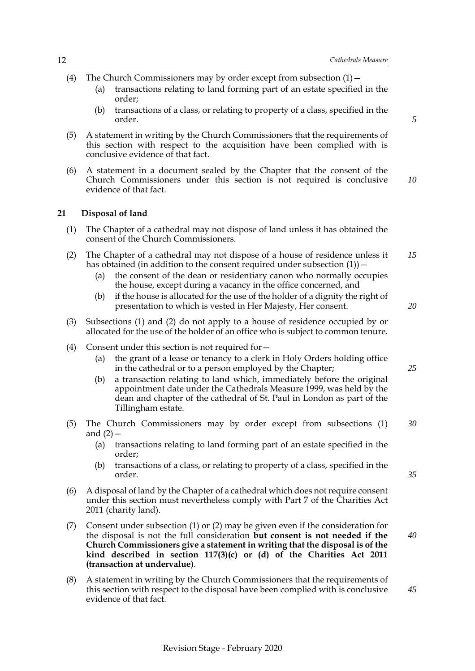- (4) The Church Commissioners may by order except from subsection  $(1)$ 
	- (a) transactions relating to land forming part of an estate specified in the order;
	- (b) transactions of a class, or relating to property of a class, specified in the order.

*20*

*25*

*35*

- (5) A statement in writing by the Church Commissioners that the requirements of this section with respect to the acquisition have been complied with is conclusive evidence of that fact.
- (6) A statement in a document sealed by the Chapter that the consent of the Church Commissioners under this section is not required is conclusive evidence of that fact. *10*

### <span id="page-15-0"></span>**21 Disposal of land**

- (1) The Chapter of a cathedral may not dispose of land unless it has obtained the consent of the Church Commissioners.
- (2) The Chapter of a cathedral may not dispose of a house of residence unless it has obtained (in addition to the consent required under subsection  $(1)$ ) – *15*
	- (a) the consent of the dean or residentiary canon who normally occupies the house, except during a vacancy in the office concerned, and
	- (b) if the house is allocated for the use of the holder of a dignity the right of presentation to which is vested in Her Majesty, Her consent.
- (3) Subsections (1) and (2) do not apply to a house of residence occupied by or allocated for the use of the holder of an office who is subject to common tenure.
- (4) Consent under this section is not required for—
	- (a) the grant of a lease or tenancy to a clerk in Holy Orders holding office in the cathedral or to a person employed by the Chapter;
	- (b) a transaction relating to land which, immediately before the original appointment date under the Cathedrals Measure 1999, was held by the dean and chapter of the cathedral of St. Paul in London as part of the Tillingham estate.
- (5) The Church Commissioners may by order except from subsections (1) and  $(2)$  – *30*
	- (a) transactions relating to land forming part of an estate specified in the order;
	- (b) transactions of a class, or relating to property of a class, specified in the order.
- (6) A disposal of land by the Chapter of a cathedral which does not require consent under this section must nevertheless comply with Part 7 of the Charities Act 2011 (charity land).
- (7) Consent under subsection (1) or (2) may be given even if the consideration for the disposal is not the full consideration **but consent is not needed if the Church Commissioners give a statement in writing that the disposal is of the kind described in section 117(3)(c) or (d) of the Charities Act 2011 (transaction at undervalue)**. *40*
- (8) A statement in writing by the Church Commissioners that the requirements of this section with respect to the disposal have been complied with is conclusive evidence of that fact.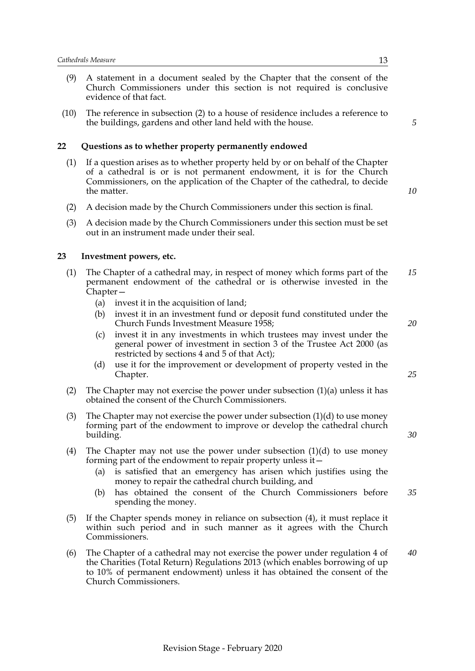- (9) A statement in a document sealed by the Chapter that the consent of the Church Commissioners under this section is not required is conclusive evidence of that fact.
- (10) The reference in subsection (2) to a house of residence includes a reference to the buildings, gardens and other land held with the house.

### <span id="page-16-0"></span>**22 Questions as to whether property permanently endowed**

- (1) If a question arises as to whether property held by or on behalf of the Chapter of a cathedral is or is not permanent endowment, it is for the Church Commissioners, on the application of the Chapter of the cathedral, to decide the matter.
- (2) A decision made by the Church Commissioners under this section is final.
- (3) A decision made by the Church Commissioners under this section must be set out in an instrument made under their seal.

### <span id="page-16-1"></span>**23 Investment powers, etc.**

- (1) The Chapter of a cathedral may, in respect of money which forms part of the permanent endowment of the cathedral or is otherwise invested in the Chapter— *15*
	- (a) invest it in the acquisition of land;
	- (b) invest it in an investment fund or deposit fund constituted under the Church Funds Investment Measure 1958;
	- (c) invest it in any investments in which trustees may invest under the general power of investment in section 3 of the Trustee Act 2000 (as restricted by sections 4 and 5 of that Act);
	- (d) use it for the improvement or development of property vested in the Chapter.
- (2) The Chapter may not exercise the power under subsection  $(1)(a)$  unless it has obtained the consent of the Church Commissioners.
- (3) The Chapter may not exercise the power under subsection  $(1)(d)$  to use money forming part of the endowment to improve or develop the cathedral church building.
- (4) The Chapter may not use the power under subsection  $(1)(d)$  to use money forming part of the endowment to repair property unless it—
	- (a) is satisfied that an emergency has arisen which justifies using the money to repair the cathedral church building, and
	- (b) has obtained the consent of the Church Commissioners before spending the money. *35*
- (5) If the Chapter spends money in reliance on subsection (4), it must replace it within such period and in such manner as it agrees with the Church Commissioners.
- (6) The Chapter of a cathedral may not exercise the power under regulation 4 of the Charities (Total Return) Regulations 2013 (which enables borrowing of up to 10% of permanent endowment) unless it has obtained the consent of the Church Commissioners.

*5*

*10*

*20*

*25*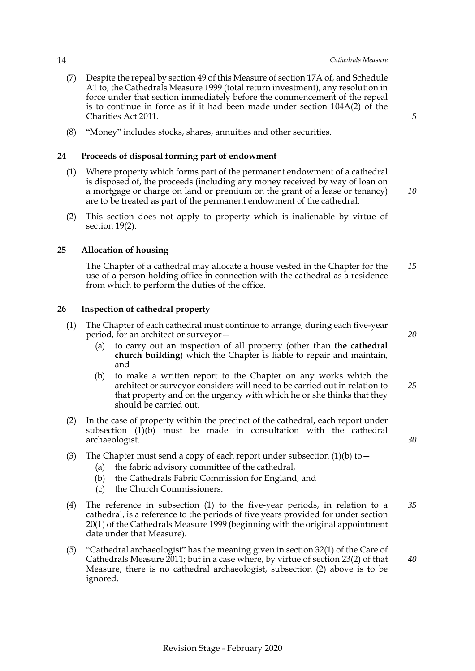- (7) Despite the repeal by section 49 of this Measure of section 17A of, and Schedule A1 to, the Cathedrals Measure 1999 (total return investment), any resolution in force under that section immediately before the commencement of the repeal is to continue in force as if it had been made under section 104A(2) of the Charities Act 2011.
- <span id="page-17-0"></span>(8) "Money" includes stocks, shares, annuities and other securities.

### **24 Proceeds of disposal forming part of endowment**

- (1) Where property which forms part of the permanent endowment of a cathedral is disposed of, the proceeds (including any money received by way of loan on a mortgage or charge on land or premium on the grant of a lease or tenancy) are to be treated as part of the permanent endowment of the cathedral.
- (2) This section does not apply to property which is inalienable by virtue of section 19(2).

### **25 Allocation of housing**

<span id="page-17-1"></span>The Chapter of a cathedral may allocate a house vested in the Chapter for the use of a person holding office in connection with the cathedral as a residence from which to perform the duties of the office. *15*

### <span id="page-17-2"></span>**26 Inspection of cathedral property**

- (1) The Chapter of each cathedral must continue to arrange, during each five-year period, for an architect or surveyor—
	- (a) to carry out an inspection of all property (other than **the cathedral church building**) which the Chapter is liable to repair and maintain, and
	- (b) to make a written report to the Chapter on any works which the architect or surveyor considers will need to be carried out in relation to that property and on the urgency with which he or she thinks that they should be carried out. *25*
- (2) In the case of property within the precinct of the cathedral, each report under subsection (1)(b) must be made in consultation with the cathedral archaeologist.
- (3) The Chapter must send a copy of each report under subsection  $(1)(b)$  to  $-$ 
	- (a) the fabric advisory committee of the cathedral,
	- (b) the Cathedrals Fabric Commission for England, and
	- (c) the Church Commissioners.
- (4) The reference in subsection (1) to the five-year periods, in relation to a cathedral, is a reference to the periods of five years provided for under section 20(1) of the Cathedrals Measure 1999 (beginning with the original appointment date under that Measure). *35*
- (5) "Cathedral archaeologist" has the meaning given in section 32(1) of the Care of Cathedrals Measure 2011; but in a case where, by virtue of section 23(2) of that Measure, there is no cathedral archaeologist, subsection (2) above is to be ignored.

*5*

*10*

*20*

*30*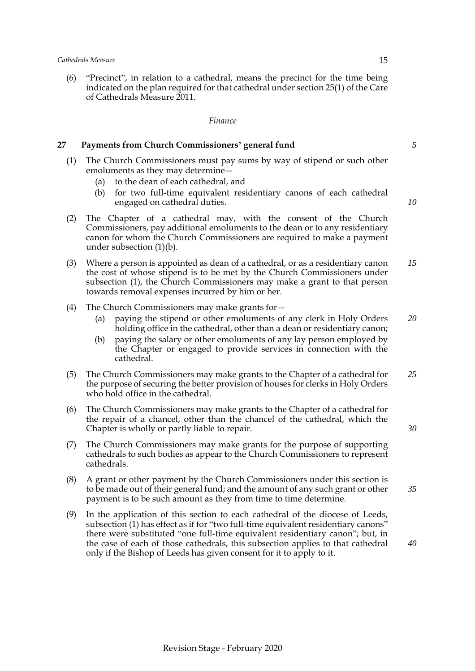(6) "Precinct", in relation to a cathedral, means the precinct for the time being indicated on the plan required for that cathedral under section 25(1) of the Care of Cathedrals Measure 2011.

#### *Finance*

### <span id="page-18-0"></span>**27 Payments from Church Commissioners' general fund**

- (1) The Church Commissioners must pay sums by way of stipend or such other emoluments as they may determine—
	- (a) to the dean of each cathedral, and
	- (b) for two full-time equivalent residentiary canons of each cathedral engaged on cathedral duties.

*10*

*5*

- (2) The Chapter of a cathedral may, with the consent of the Church Commissioners, pay additional emoluments to the dean or to any residentiary canon for whom the Church Commissioners are required to make a payment under subsection (1)(b).
- (3) Where a person is appointed as dean of a cathedral, or as a residentiary canon the cost of whose stipend is to be met by the Church Commissioners under subsection (1), the Church Commissioners may make a grant to that person towards removal expenses incurred by him or her. *15*
- (4) The Church Commissioners may make grants for—
	- (a) paying the stipend or other emoluments of any clerk in Holy Orders holding office in the cathedral, other than a dean or residentiary canon; *20*
	- (b) paying the salary or other emoluments of any lay person employed by the Chapter or engaged to provide services in connection with the cathedral.
- (5) The Church Commissioners may make grants to the Chapter of a cathedral for the purpose of securing the better provision of houses for clerks in Holy Orders who hold office in the cathedral. *25*
- (6) The Church Commissioners may make grants to the Chapter of a cathedral for the repair of a chancel, other than the chancel of the cathedral, which the Chapter is wholly or partly liable to repair.
- (7) The Church Commissioners may make grants for the purpose of supporting cathedrals to such bodies as appear to the Church Commissioners to represent cathedrals.
- (8) A grant or other payment by the Church Commissioners under this section is to be made out of their general fund; and the amount of any such grant or other payment is to be such amount as they from time to time determine.
- (9) In the application of this section to each cathedral of the diocese of Leeds, subsection (1) has effect as if for "two full-time equivalent residentiary canons" there were substituted "one full-time equivalent residentiary canon"; but, in the case of each of those cathedrals, this subsection applies to that cathedral only if the Bishop of Leeds has given consent for it to apply to it.

*30*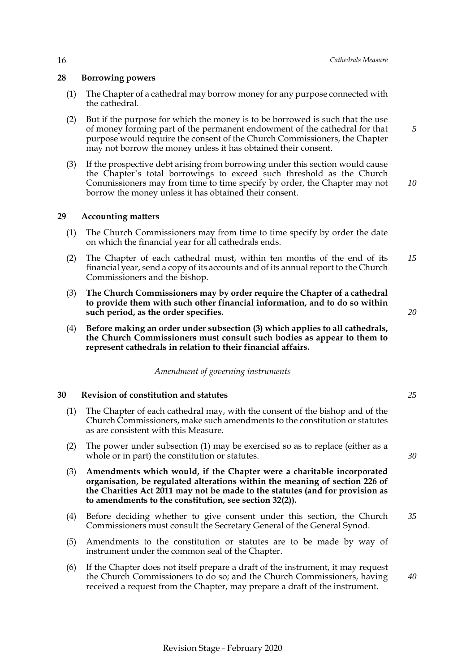### <span id="page-19-0"></span>**28 Borrowing powers**

- (1) The Chapter of a cathedral may borrow money for any purpose connected with the cathedral.
- (2) But if the purpose for which the money is to be borrowed is such that the use of money forming part of the permanent endowment of the cathedral for that purpose would require the consent of the Church Commissioners, the Chapter may not borrow the money unless it has obtained their consent.
- (3) If the prospective debt arising from borrowing under this section would cause the Chapter's total borrowings to exceed such threshold as the Church Commissioners may from time to time specify by order, the Chapter may not borrow the money unless it has obtained their consent.

### <span id="page-19-1"></span>**29 Accounting matters**

- (1) The Church Commissioners may from time to time specify by order the date on which the financial year for all cathedrals ends.
- (2) The Chapter of each cathedral must, within ten months of the end of its financial year, send a copy of its accounts and of its annual report to the Church Commissioners and the bishop. *15*
- (3) **The Church Commissioners may by order require the Chapter of a cathedral to provide them with such other financial information, and to do so within such period, as the order specifies.**
- (4) **Before making an order under subsection (3) which applies to all cathedrals, the Church Commissioners must consult such bodies as appear to them to represent cathedrals in relation to their financial affairs.**

### *Amendment of governing instruments*

### <span id="page-19-2"></span>**30 Revision of constitution and statutes**

- (1) The Chapter of each cathedral may, with the consent of the bishop and of the Church Commissioners, make such amendments to the constitution or statutes as are consistent with this Measure.
- (2) The power under subsection (1) may be exercised so as to replace (either as a whole or in part) the constitution or statutes.
- (3) **Amendments which would, if the Chapter were a charitable incorporated organisation, be regulated alterations within the meaning of section 226 of the Charities Act 2011 may not be made to the statutes (and for provision as to amendments to the constitution, see section 32(2)).**
- (4) Before deciding whether to give consent under this section, the Church Commissioners must consult the Secretary General of the General Synod. *35*
- (5) Amendments to the constitution or statutes are to be made by way of instrument under the common seal of the Chapter.

Revision Stage - February 2020

(6) If the Chapter does not itself prepare a draft of the instrument, it may request the Church Commissioners to do so; and the Church Commissioners, having received a request from the Chapter, may prepare a draft of the instrument.

*10*

*5*

*25*

*30*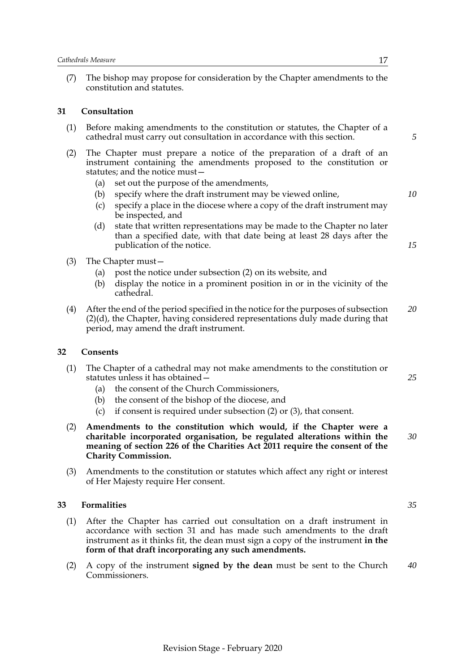(7) The bishop may propose for consideration by the Chapter amendments to the constitution and statutes.

### <span id="page-20-0"></span>**31 Consultation**

| (1) Before making amendments to the constitution or statutes, the Chapter of a |
|--------------------------------------------------------------------------------|
| cathedral must carry out consultation in accordance with this section.         |

- (2) The Chapter must prepare a notice of the preparation of a draft of an instrument containing the amendments proposed to the constitution or statutes; and the notice must—
	- (a) set out the purpose of the amendments,
	- (b) specify where the draft instrument may be viewed online,
	- (c) specify a place in the diocese where a copy of the draft instrument may be inspected, and
	- (d) state that written representations may be made to the Chapter no later than a specified date, with that date being at least 28 days after the publication of the notice.
- (3) The Chapter must—
	- (a) post the notice under subsection (2) on its website, and
	- (b) display the notice in a prominent position in or in the vicinity of the cathedral.
- (4) After the end of the period specified in the notice for the purposes of subsection (2)(d), the Chapter, having considered representations duly made during that period, may amend the draft instrument. *20*

#### <span id="page-20-1"></span>**32 Consents**

- (1) The Chapter of a cathedral may not make amendments to the constitution or statutes unless it has obtained—
	- (a) the consent of the Church Commissioners,
	- (b) the consent of the bishop of the diocese, and
	- (c) if consent is required under subsection (2) or (3), that consent.
- (2) **Amendments to the constitution which would, if the Chapter were a charitable incorporated organisation, be regulated alterations within the meaning of section 226 of the Charities Act 2011 require the consent of the Charity Commission.** *30*
- (3) Amendments to the constitution or statutes which affect any right or interest of Her Majesty require Her consent.

### <span id="page-20-2"></span>**33 Formalities**

- (1) After the Chapter has carried out consultation on a draft instrument in accordance with section 31 and has made such amendments to the draft instrument as it thinks fit, the dean must sign a copy of the instrument **in the form of that draft incorporating any such amendments.**
- (2) A copy of the instrument **signed by the dean** must be sent to the Church Commissioners. *40*

*35*

*25*

*10*

*5*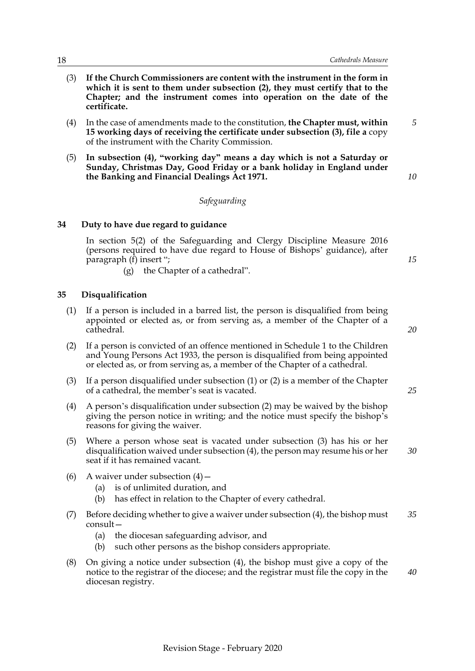- (3) **If the Church Commissioners are content with the instrument in the form in which it is sent to them under subsection (2), they must certify that to the Chapter; and the instrument comes into operation on the date of the certificate.**
- (4) In the case of amendments made to the constitution, **the Chapter must, within 15 working days of receiving the certificate under subsection (3), file a** copy of the instrument with the Charity Commission.
- (5) **In subsection (4), "working day" means a day which is not a Saturday or Sunday, Christmas Day, Good Friday or a bank holiday in England under the Banking and Financial Dealings Act 1971.**

### *Safeguarding*

### **34 Duty to have due regard to guidance**

<span id="page-21-0"></span>In section 5(2) of the Safeguarding and Clergy Discipline Measure 2016 (persons required to have due regard to House of Bishops' guidance), after paragraph (f) insert ";

(g) the Chapter of a cathedral".

### <span id="page-21-1"></span>**35 Disqualification**

- (1) If a person is included in a barred list, the person is disqualified from being appointed or elected as, or from serving as, a member of the Chapter of a cathedral.
- (2) If a person is convicted of an offence mentioned in Schedule 1 to the Children and Young Persons Act 1933, the person is disqualified from being appointed or elected as, or from serving as, a member of the Chapter of a cathedral.
- (3) If a person disqualified under subsection (1) or (2) is a member of the Chapter of a cathedral, the member's seat is vacated.
- (4) A person's disqualification under subsection (2) may be waived by the bishop giving the person notice in writing; and the notice must specify the bishop's reasons for giving the waiver.
- (5) Where a person whose seat is vacated under subsection (3) has his or her disqualification waived under subsection (4), the person may resume his or her seat if it has remained vacant.
- (6) A waiver under subsection  $(4)$  -
	- (a) is of unlimited duration, and
	- (b) has effect in relation to the Chapter of every cathedral.
- (7) Before deciding whether to give a waiver under subsection (4), the bishop must consult— *35*
	- (a) the diocesan safeguarding advisor, and
	- (b) such other persons as the bishop considers appropriate.
- (8) On giving a notice under subsection (4), the bishop must give a copy of the notice to the registrar of the diocese; and the registrar must file the copy in the diocesan registry. *40*

*15*

*5*

*10*

*20*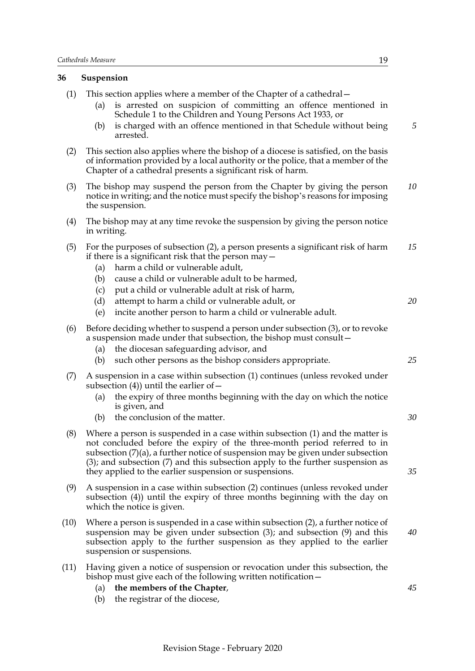### <span id="page-22-0"></span>**36 Suspension**

- (1) This section applies where a member of the Chapter of a cathedral—
	- (a) is arrested on suspicion of committing an offence mentioned in Schedule 1 to the Children and Young Persons Act 1933, or
	- (b) is charged with an offence mentioned in that Schedule without being arrested.
- (2) This section also applies where the bishop of a diocese is satisfied, on the basis of information provided by a local authority or the police, that a member of the Chapter of a cathedral presents a significant risk of harm.
- (3) The bishop may suspend the person from the Chapter by giving the person notice in writing; and the notice must specify the bishop's reasons for imposing the suspension. *10*
- (4) The bishop may at any time revoke the suspension by giving the person notice in writing.
- (5) For the purposes of subsection (2), a person presents a significant risk of harm if there is a significant risk that the person may— *15*
	- (a) harm a child or vulnerable adult,
	- (b) cause a child or vulnerable adult to be harmed,
	- (c) put a child or vulnerable adult at risk of harm,
	- (d) attempt to harm a child or vulnerable adult, or
	- (e) incite another person to harm a child or vulnerable adult.
- (6) Before deciding whether to suspend a person under subsection (3), or to revoke a suspension made under that subsection, the bishop must consult—
	- (a) the diocesan safeguarding advisor, and
	- (b) such other persons as the bishop considers appropriate.
- (7) A suspension in a case within subsection (1) continues (unless revoked under subsection  $(4)$ ) until the earlier of  $-$ 
	- (a) the expiry of three months beginning with the day on which the notice is given, and
	- (b) the conclusion of the matter.
- (8) Where a person is suspended in a case within subsection (1) and the matter is not concluded before the expiry of the three-month period referred to in subsection  $(7)(a)$ , a further notice of suspension may be given under subsection (3); and subsection (7) and this subsection apply to the further suspension as they applied to the earlier suspension or suspensions.
- (9) A suspension in a case within subsection (2) continues (unless revoked under subsection (4)) until the expiry of three months beginning with the day on which the notice is given.
- (10) Where a person is suspended in a case within subsection (2), a further notice of suspension may be given under subsection (3); and subsection (9) and this subsection apply to the further suspension as they applied to the earlier suspension or suspensions.
- (11) Having given a notice of suspension or revocation under this subsection, the bishop must give each of the following written notification—
	- (a) **the members of the Chapter**,
	- (b) the registrar of the diocese,

*5*

*35*

*20*

*25*

*30*

*45*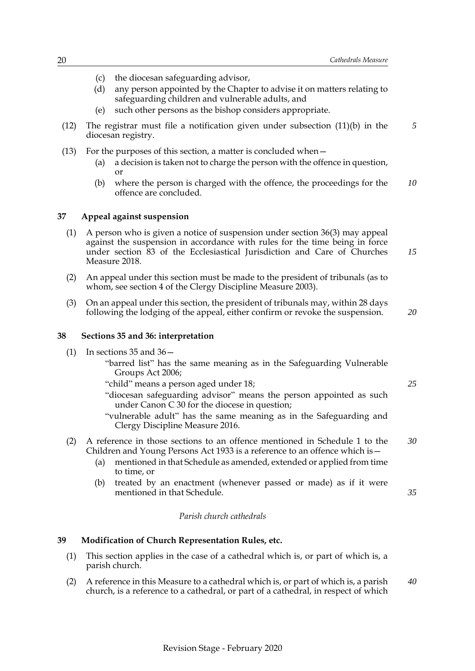- (c) the diocesan safeguarding advisor,
- (d) any person appointed by the Chapter to advise it on matters relating to safeguarding children and vulnerable adults, and
- (e) such other persons as the bishop considers appropriate.
- (12) The registrar must file a notification given under subsection (11)(b) in the diocesan registry. *5*
- (13) For the purposes of this section, a matter is concluded when—
	- (a) a decision is taken not to charge the person with the offence in question, or
	- (b) where the person is charged with the offence, the proceedings for the offence are concluded. *10*

#### <span id="page-23-0"></span>**37 Appeal against suspension**

- (1) A person who is given a notice of suspension under section 36(3) may appeal against the suspension in accordance with rules for the time being in force under section 83 of the Ecclesiastical Jurisdiction and Care of Churches Measure 2018.
- (2) An appeal under this section must be made to the president of tribunals (as to whom, see section 4 of the Clergy Discipline Measure 2003).
- (3) On an appeal under this section, the president of tribunals may, within 28 days following the lodging of the appeal, either confirm or revoke the suspension.

*20*

*25*

*35*

*15*

### <span id="page-23-3"></span><span id="page-23-1"></span>**38 Sections 35 and 36: interpretation**

- (1) In sections  $35$  and  $36-$ 
	- "barred list" has the same meaning as in the Safeguarding Vulnerable Groups Act 2006;
	- "child" means a person aged under 18;
	- "diocesan safeguarding advisor" means the person appointed as such under Canon C 30 for the diocese in question;
	- "vulnerable adult" has the same meaning as in the Safeguarding and Clergy Discipline Measure 2016.
- (2) A reference in those sections to an offence mentioned in Schedule 1 to the Children and Young Persons Act 1933 is a reference to an offence which is— *30*
	- (a) mentioned in that Schedule as amended, extended or applied from time to time, or
	- (b) treated by an enactment (whenever passed or made) as if it were mentioned in that Schedule.

#### *Parish church cathedrals*

### <span id="page-23-2"></span>**39 Modification of Church Representation Rules, etc.**

- (1) This section applies in the case of a cathedral which is, or part of which is, a parish church.
- (2) A reference in this Measure to a cathedral which is, or part of which is, a parish church, is a reference to a cathedral, or part of a cathedral, in respect of which *40*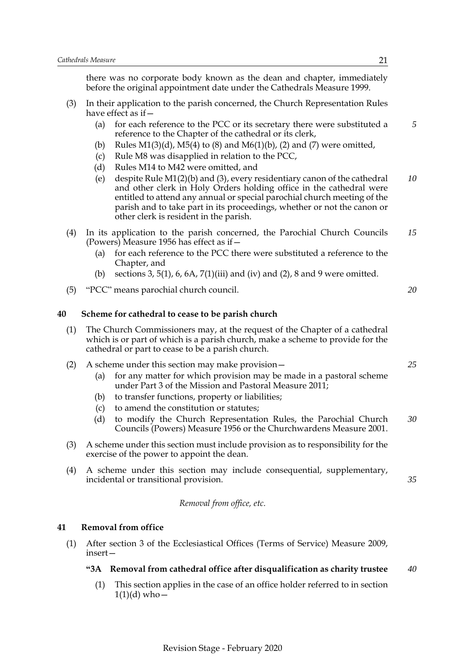there was no corporate body known as the dean and chapter, immediately before the original appointment date under the Cathedrals Measure 1999.

- (3) In their application to the parish concerned, the Church Representation Rules have effect as if—
	- (a) for each reference to the PCC or its secretary there were substituted a reference to the Chapter of the cathedral or its clerk,
	- (b) Rules  $M1(3)(d)$ ,  $M5(4)$  to (8) and  $M6(1)(b)$ , (2) and (7) were omitted,
	- (c) Rule M8 was disapplied in relation to the PCC,
	- (d) Rules M14 to M42 were omitted, and
	- (e) despite Rule M1(2)(b) and (3), every residentiary canon of the cathedral and other clerk in Holy Orders holding office in the cathedral were entitled to attend any annual or special parochial church meeting of the parish and to take part in its proceedings, whether or not the canon or other clerk is resident in the parish. *10*
- (4) In its application to the parish concerned, the Parochial Church Councils (Powers) Measure 1956 has effect as if— *15*
	- (a) for each reference to the PCC there were substituted a reference to the Chapter, and
	- (b) sections  $3, 5(1), 6, 6A, 7(1)(iii)$  and (iv) and (2), 8 and 9 were omitted.
- <span id="page-24-0"></span>(5) "PCC" means parochial church council.

### **40 Scheme for cathedral to cease to be parish church**

- (1) The Church Commissioners may, at the request of the Chapter of a cathedral which is or part of which is a parish church, make a scheme to provide for the cathedral or part to cease to be a parish church.
- (2) A scheme under this section may make provision—
	- (a) for any matter for which provision may be made in a pastoral scheme under Part 3 of the Mission and Pastoral Measure 2011;
	- (b) to transfer functions, property or liabilities;
	- (c) to amend the constitution or statutes;
	- (d) to modify the Church Representation Rules, the Parochial Church Councils (Powers) Measure 1956 or the Churchwardens Measure 2001. *30*
- (3) A scheme under this section must include provision as to responsibility for the exercise of the power to appoint the dean.
- (4) A scheme under this section may include consequential, supplementary, incidental or transitional provision.

#### *Removal from office, etc.*

### <span id="page-24-1"></span>**41 Removal from office**

(1) After section 3 of the Ecclesiastical Offices (Terms of Service) Measure 2009, insert—

#### **"3A Removal from cathedral office after disqualification as charity trustee** *40*

(1) This section applies in the case of an office holder referred to in section  $1(1)(d)$  who –

*5*

*20*

*25*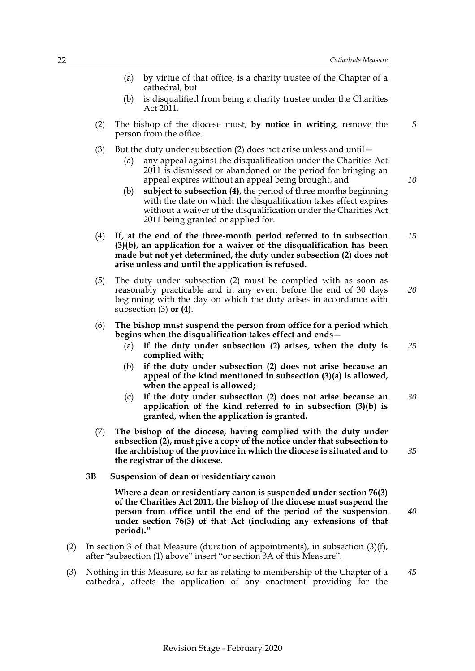*10*

*40*

- (a) by virtue of that office, is a charity trustee of the Chapter of a cathedral, but
- (b) is disqualified from being a charity trustee under the Charities Act 2011.
- (2) The bishop of the diocese must, **by notice in writing**, remove the person from the office.
- (3) But the duty under subsection  $(2)$  does not arise unless and until  $-$ 
	- (a) any appeal against the disqualification under the Charities Act 2011 is dismissed or abandoned or the period for bringing an appeal expires without an appeal being brought, and
	- (b) **subject to subsection (4)**, the period of three months beginning with the date on which the disqualification takes effect expires without a waiver of the disqualification under the Charities Act 2011 being granted or applied for.
- (4) **If, at the end of the three-month period referred to in subsection (3)(b), an application for a waiver of the disqualification has been made but not yet determined, the duty under subsection (2) does not arise unless and until the application is refused.** *15*
- (5) The duty under subsection (2) must be complied with as soon as reasonably practicable and in any event before the end of 30 days beginning with the day on which the duty arises in accordance with subsection (3) **or (4)**. *20*
- (6) **The bishop must suspend the person from office for a period which begins when the disqualification takes effect and ends—**
	- (a) **if the duty under subsection (2) arises, when the duty is complied with;** *25*
	- (b) **if the duty under subsection (2) does not arise because an appeal of the kind mentioned in subsection (3)(a) is allowed, when the appeal is allowed;**
	- (c) **if the duty under subsection (2) does not arise because an application of the kind referred to in subsection (3)(b) is granted, when the application is granted.** *30*
- (7) **The bishop of the diocese, having complied with the duty under subsection (2), must give a copy of the notice under that subsection to the archbishop of the province in which the diocese is situated and to the registrar of the diocese**. *35*
- **3B Suspension of dean or residentiary canon**

**Where a dean or residentiary canon is suspended under section 76(3) of the Charities Act 2011, the bishop of the diocese must suspend the person from office until the end of the period of the suspension under section 76(3) of that Act (including any extensions of that period)."**

- (2) In section 3 of that Measure (duration of appointments), in subsection (3)(f), after "subsection (1) above" insert "or section 3A of this Measure".
- (3) Nothing in this Measure, so far as relating to membership of the Chapter of a cathedral, affects the application of any enactment providing for the *45*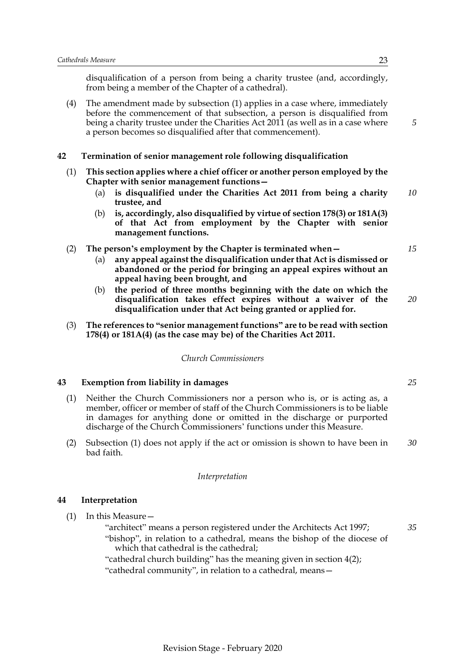disqualification of a person from being a charity trustee (and, accordingly, from being a member of the Chapter of a cathedral).

(4) The amendment made by subsection (1) applies in a case where, immediately before the commencement of that subsection, a person is disqualified from being a charity trustee under the Charities Act 2011 (as well as in a case where a person becomes so disqualified after that commencement).

### <span id="page-26-0"></span>**42 Termination of senior management role following disqualification**

- (1) **This section applies where a chief officer or another person employed by the Chapter with senior management functions—**
	- (a) **is disqualified under the Charities Act 2011 from being a charity trustee, and** *10*
	- (b) **is, accordingly, also disqualified by virtue of section 178(3) or 181A(3) of that Act from employment by the Chapter with senior management functions.**

### (2) **The person's employment by the Chapter is terminated when—**

- (a) **any appeal against the disqualification under that Act is dismissed or abandoned or the period for bringing an appeal expires without an appeal having been brought, and**
- (b) **the period of three months beginning with the date on which the disqualification takes effect expires without a waiver of the disqualification under that Act being granted or applied for.** *20*
- (3) **The references to "senior management functions" are to be read with section 178(4) or 181A(4) (as the case may be) of the Charities Act 2011.**

### *Church Commissioners*

### <span id="page-26-1"></span>**43 Exemption from liability in damages**

- (1) Neither the Church Commissioners nor a person who is, or is acting as, a member, officer or member of staff of the Church Commissioners is to be liable in damages for anything done or omitted in the discharge or purported discharge of the Church Commissioners' functions under this Measure.
- (2) Subsection (1) does not apply if the act or omission is shown to have been in bad faith. *30*

#### *Interpretation*

### <span id="page-26-2"></span>**44 Interpretation**

- (1) In this Measure—
	- "architect" means a person registered under the Architects Act 1997; "bishop", in relation to a cathedral, means the bishop of the diocese of which that cathedral is the cathedral;
	- "cathedral church building" has the meaning given in section 4(2); "cathedral community", in relation to a cathedral, means—

*35*

*15*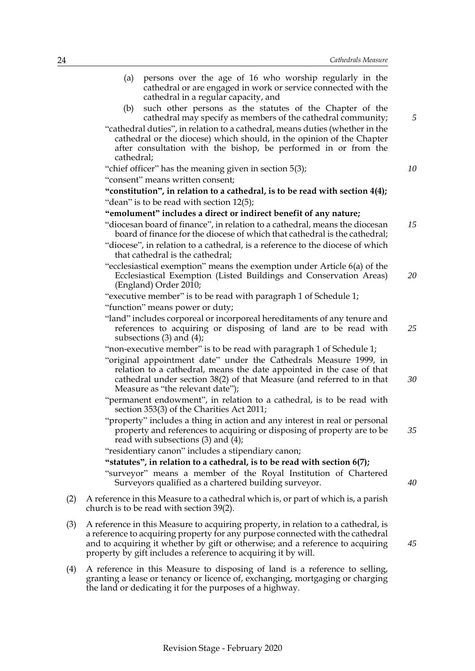|     | persons over the age of 16 who worship regularly in the<br>(a)<br>cathedral or are engaged in work or service connected with the<br>cathedral in a regular capacity, and                                                                                                                                                |    |
|-----|-------------------------------------------------------------------------------------------------------------------------------------------------------------------------------------------------------------------------------------------------------------------------------------------------------------------------|----|
|     | such other persons as the statutes of the Chapter of the<br>(b)<br>cathedral may specify as members of the cathedral community;                                                                                                                                                                                         | 5  |
|     | "cathedral duties", in relation to a cathedral, means duties (whether in the<br>cathedral or the diocese) which should, in the opinion of the Chapter<br>after consultation with the bishop, be performed in or from the<br>cathedral;                                                                                  |    |
|     | "chief officer" has the meaning given in section 5(3);                                                                                                                                                                                                                                                                  | 10 |
|     | "consent" means written consent;                                                                                                                                                                                                                                                                                        |    |
|     | "constitution", in relation to a cathedral, is to be read with section 4(4);                                                                                                                                                                                                                                            |    |
|     | "dean" is to be read with section 12(5);                                                                                                                                                                                                                                                                                |    |
|     | "emolument" includes a direct or indirect benefit of any nature;                                                                                                                                                                                                                                                        |    |
|     | "diocesan board of finance", in relation to a cathedral, means the diocesan<br>board of finance for the diocese of which that cathedral is the cathedral;                                                                                                                                                               | 15 |
|     | "diocese", in relation to a cathedral, is a reference to the diocese of which<br>that cathedral is the cathedral;                                                                                                                                                                                                       |    |
|     | "ecclesiastical exemption" means the exemption under Article 6(a) of the<br>Ecclesiastical Exemption (Listed Buildings and Conservation Areas)<br>(England) Order 2010;                                                                                                                                                 | 20 |
|     | "executive member" is to be read with paragraph 1 of Schedule 1;                                                                                                                                                                                                                                                        |    |
|     | "function" means power or duty;                                                                                                                                                                                                                                                                                         |    |
|     | "land" includes corporeal or incorporeal hereditaments of any tenure and<br>references to acquiring or disposing of land are to be read with<br>subsections $(3)$ and $(4)$ ;                                                                                                                                           | 25 |
|     | "non-executive member" is to be read with paragraph 1 of Schedule 1;                                                                                                                                                                                                                                                    |    |
|     | "original appointment date" under the Cathedrals Measure 1999, in<br>relation to a cathedral, means the date appointed in the case of that<br>cathedral under section $38(2)$ of that Measure (and referred to in that<br>Measure as "the relevant date");                                                              | 30 |
|     | "permanent endowment", in relation to a cathedral, is to be read with<br>section 353(3) of the Charities Act 2011;                                                                                                                                                                                                      |    |
|     | "property" includes a thing in action and any interest in real or personal<br>property and references to acquiring or disposing of property are to be<br>read with subsections $(3)$ and $(4)$ ;                                                                                                                        | 35 |
|     | "residentiary canon" includes a stipendiary canon;                                                                                                                                                                                                                                                                      |    |
|     | "statutes", in relation to a cathedral, is to be read with section 6(7);                                                                                                                                                                                                                                                |    |
|     | "surveyor" means a member of the Royal Institution of Chartered<br>Surveyors qualified as a chartered building surveyor.                                                                                                                                                                                                | 40 |
| (2) | A reference in this Measure to a cathedral which is, or part of which is, a parish<br>church is to be read with section 39(2).                                                                                                                                                                                          |    |
| (3) | A reference in this Measure to acquiring property, in relation to a cathedral, is<br>a reference to acquiring property for any purpose connected with the cathedral<br>and to acquiring it whether by gift or otherwise; and a reference to acquiring<br>property by gift includes a reference to acquiring it by will. | 45 |
| (4) | A reference in this Measure to disposing of land is a reference to selling,<br>granting a lease or tenancy or licence of, exchanging, mortgaging or charging                                                                                                                                                            |    |

the land or dedicating it for the purposes of a highway.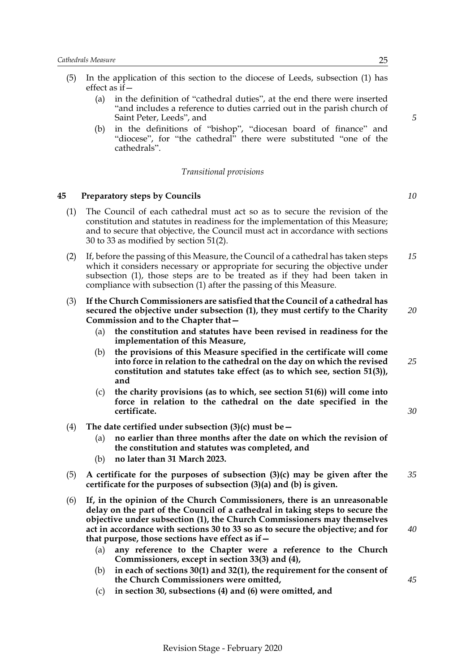- (5) In the application of this section to the diocese of Leeds, subsection (1) has effect as if—
	- (a) in the definition of "cathedral duties", at the end there were inserted "and includes a reference to duties carried out in the parish church of Saint Peter, Leeds", and
	- (b) in the definitions of "bishop", "diocesan board of finance" and "diocese", for "the cathedral" there were substituted "one of the cathedrals".

#### *Transitional provisions*

### <span id="page-28-0"></span>**45 Preparatory steps by Councils**

- (1) The Council of each cathedral must act so as to secure the revision of the constitution and statutes in readiness for the implementation of this Measure; and to secure that objective, the Council must act in accordance with sections 30 to 33 as modified by section 51(2).
- (2) If, before the passing of this Measure, the Council of a cathedral has taken steps which it considers necessary or appropriate for securing the objective under subsection (1), those steps are to be treated as if they had been taken in compliance with subsection (1) after the passing of this Measure. *15*
- (3) **If the Church Commissioners are satisfied that the Council of a cathedral has secured the objective under subsection (1), they must certify to the Charity Commission and to the Chapter that—**
	- (a) **the constitution and statutes have been revised in readiness for the implementation of this Measure,**
	- (b) **the provisions of this Measure specified in the certificate will come into force in relation to the cathedral on the day on which the revised constitution and statutes take effect (as to which see, section 51(3)), and**
	- (c) **the charity provisions (as to which, see section 51(6)) will come into force in relation to the cathedral on the date specified in the certificate.**
- (4) **The date certified under subsection (3)(c) must be—**
	- (a) **no earlier than three months after the date on which the revision of the constitution and statutes was completed, and**
	- (b) **no later than 31 March 2023.**
- (5) **A certificate for the purposes of subsection (3)(c) may be given after the certificate for the purposes of subsection (3)(a) and (b) is given.** *35*
- (6) **If, in the opinion of the Church Commissioners, there is an unreasonable delay on the part of the Council of a cathedral in taking steps to secure the objective under subsection (1), the Church Commissioners may themselves act in accordance with sections 30 to 33 so as to secure the objective; and for that purpose, those sections have effect as if—**
	- (a) **any reference to the Chapter were a reference to the Church Commissioners, except in section 33(3) and (4),**
	- (b) **in each of sections 30(1) and 32(1), the requirement for the consent of the Church Commissioners were omitted,**
	- (c) **in section 30, subsections (4) and (6) were omitted, and**

*40*

*10*

*5*

*20*

*25*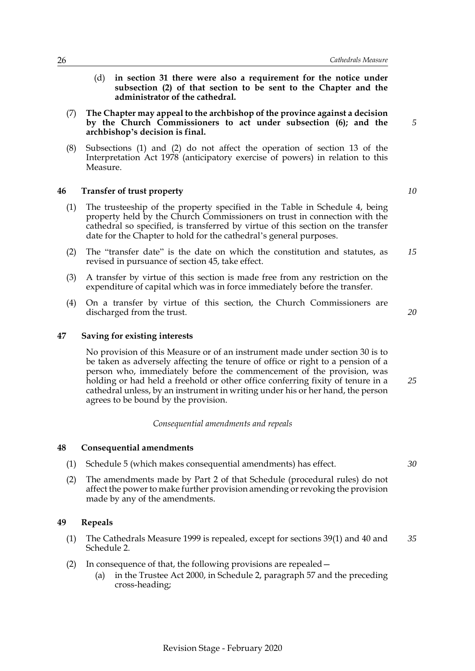- (d) **in section 31 there were also a requirement for the notice under subsection (2) of that section to be sent to the Chapter and the administrator of the cathedral.**
- (7) **The Chapter may appeal to the archbishop of the province against a decision by the Church Commissioners to act under subsection (6); and the archbishop's decision is final.**
- (8) Subsections (1) and (2) do not affect the operation of section 13 of the Interpretation Act 1978 (anticipatory exercise of powers) in relation to this Measure.

### <span id="page-29-0"></span>**46 Transfer of trust property**

- (1) The trusteeship of the property specified in the Table in Schedule [4,](#page-39-0) being property held by the Church Commissioners on trust in connection with the cathedral so specified, is transferred by virtue of this section on the transfer date for the Chapter to hold for the cathedral's general purposes.
- (2) The "transfer date" is the date on which the constitution and statutes, as revised in pursuance of section 45, take effect. *15*
- (3) A transfer by virtue of this section is made free from any restriction on the expenditure of capital which was in force immediately before the transfer.
- (4) On a transfer by virtue of this section, the Church Commissioners are discharged from the trust.

### **47 Saving for existing interests**

<span id="page-29-1"></span>No provision of this Measure or of an instrument made under section 30 is to be taken as adversely affecting the tenure of office or right to a pension of a person who, immediately before the commencement of the provision, was holding or had held a freehold or other office conferring fixity of tenure in a cathedral unless, by an instrument in writing under his or her hand, the person agrees to be bound by the provision.

### *Consequential amendments and repeals*

#### <span id="page-29-2"></span>**48 Consequential amendments**

- (1) Schedule [5](#page-40-0) (which makes consequential amendments) has effect.
- (2) The amendments made by Part 2 of that Schedule (procedural rules) do not affect the power to make further provision amending or revoking the provision made by any of the amendments.

#### <span id="page-29-3"></span>**49 Repeals**

- (1) The Cathedrals Measure 1999 is repealed, except for sections 39(1) and 40 and Schedule 2. *35*
- (2) In consequence of that, the following provisions are repealed—
	- (a) in the Trustee Act 2000, in Schedule 2, paragraph 57 and the preceding cross-heading;

*10*

*5*

*20*

*25*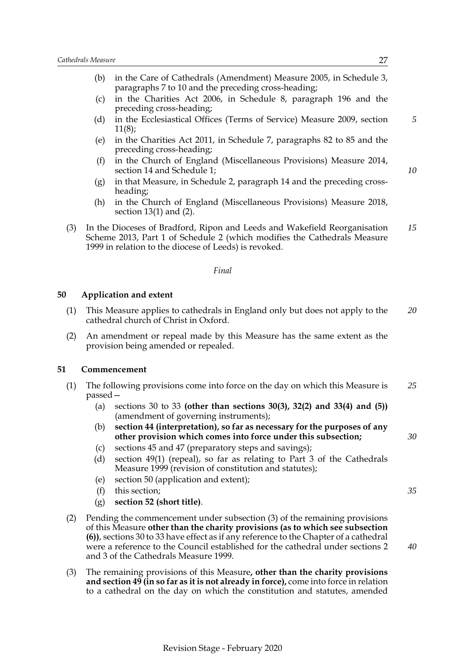- (b) in the Care of Cathedrals (Amendment) Measure 2005, in Schedule 3, paragraphs 7 to 10 and the preceding cross-heading;
- (c) in the Charities Act 2006, in Schedule 8, paragraph 196 and the preceding cross-heading;
- (d) in the Ecclesiastical Offices (Terms of Service) Measure 2009, section 11(8);
- (e) in the Charities Act 2011, in Schedule 7, paragraphs 82 to 85 and the preceding cross-heading;
- (f) in the Church of England (Miscellaneous Provisions) Measure 2014, section 14 and Schedule 1;
- (g) in that Measure, in Schedule 2, paragraph 14 and the preceding crossheading;
- (h) in the Church of England (Miscellaneous Provisions) Measure 2018, section 13(1) and (2).
- (3) In the Dioceses of Bradford, Ripon and Leeds and Wakefield Reorganisation Scheme 2013, Part 1 of Schedule 2 (which modifies the Cathedrals Measure 1999 in relation to the diocese of Leeds) is revoked. *15*

### *Final*

### <span id="page-30-0"></span>**50 Application and extent**

- (1) This Measure applies to cathedrals in England only but does not apply to the cathedral church of Christ in Oxford. *20*
- (2) An amendment or repeal made by this Measure has the same extent as the provision being amended or repealed.

#### <span id="page-30-1"></span>**51 Commencement**

- (1) The following provisions come into force on the day on which this Measure is passed— *25*
	- (a) sections 30 to 33 **(other than sections 30(3), 32(2) and 33(4) and (5))** (amendment of governing instruments);
	- (b) **section 44 (interpretation), so far as necessary for the purposes of any other provision which comes into force under this subsection;**
	- (c) sections 45 and 47 (preparatory steps and savings);
	- (d) section 49(1) (repeal), so far as relating to Part 3 of the Cathedrals Measure 1999 (revision of constitution and statutes);
	- (e) section 50 (application and extent);
	- (f) this section;
	- (g) **section 52 (short title)**.
- (2) Pending the commencement under subsection (3) of the remaining provisions of this Measure **other than the charity provisions (as to which see subsection (6))**, sections 30 to 33 have effect as if any reference to the Chapter of a cathedral were a reference to the Council established for the cathedral under sections 2 and 3 of the Cathedrals Measure 1999.
- (3) The remaining provisions of this Measure**, other than the charity provisions and section 49 (in so far as it is not already in force),** come into force in relation to a cathedral on the day on which the constitution and statutes, amended

*5*

*10*

*30*

*35*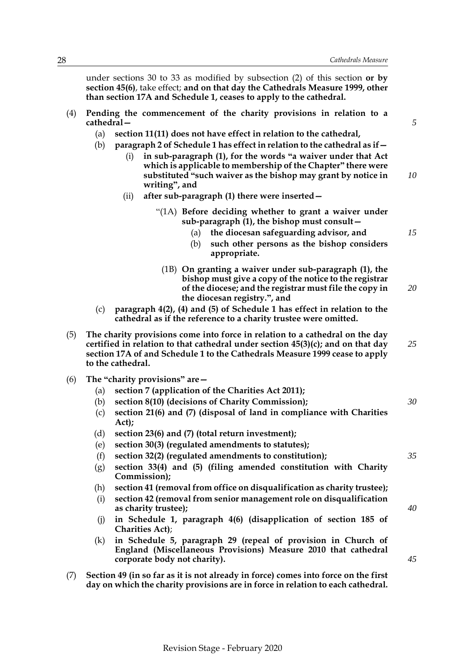*30*

*35*

*40*

*45*

under sections 30 to 33 as modified by subsection (2) of this section **or by section 45(6)**, take effect; **and on that day the Cathedrals Measure 1999, other than section 17A and Schedule 1, ceases to apply to the cathedral.**

- (4) **Pending the commencement of the charity provisions in relation to a cathedral—**
	- (a) **section 11(11) does not have effect in relation to the cathedral,**
	- (b) **paragraph 2 of Schedule [1](#page-33-0) has effect in relation to the cathedral as if—**
		- (i) **in sub-paragraph (1), for the words "a waiver under that Act which is applicable to membership of the Chapter" there were substituted "such waiver as the bishop may grant by notice in writing", and** *10*
		- (ii) **after sub-paragraph (1) there were inserted—**
			- "(1A) **Before deciding whether to grant a waiver under sub-paragraph (1), the bishop must consult—**
				- (a) **the diocesan safeguarding advisor, and** *15*
				- (b) **such other persons as the bishop considers appropriate.**
				- (1B) **On granting a waiver under sub-paragraph (1), the bishop must give a copy of the notice to the registrar of the diocese; and the registrar must file the copy in the diocesan registry.", and** *20*
	- (c) **paragraph 4(2), (4) and (5) of Schedule [1](#page-33-0) has effect in relation to the cathedral as if the reference to a charity trustee were omitted.**
- (5) **The charity provisions come into force in relation to a cathedral on the day certified in relation to that cathedral under section 45(3)(c); and on that day section 17A of and Schedule 1 to the Cathedrals Measure 1999 cease to apply to the cathedral.** *25*
- (6) **The "charity provisions" are—**
	- (a) **section 7 (application of the Charities Act 2011);**
	- (b) **section 8(10) (decisions of Charity Commission);**
	- (c) **section 21(6) and (7) (disposal of land in compliance with Charities Act);**
	- (d) **section 23(6) and (7) (total return investment);**
	- (e) **section 30(3) (regulated amendments to statutes);**
	- (f) **section 32(2) (regulated amendments to constitution);**
	- (g) **section 33(4) and (5) (filing amended constitution with Charity Commission);**
	- (h) **section 41 (removal from office on disqualification as charity trustee);**
	- (i) **section 42 (removal from senior management role on disqualification as charity trustee);**
	- (j) **in Schedule [1](#page-33-0), paragraph 4(6) (disapplication of section 185 of Charities Act)**;
	- (k) **in Schedule [5,](#page-40-0) paragraph 29 (repeal of provision in Church of England (Miscellaneous Provisions) Measure 2010 that cathedral corporate body not charity).**
- (7) **Section 49 (in so far as it is not already in force) comes into force on the first day on which the charity provisions are in force in relation to each cathedral.**

Revision Stage - February 2020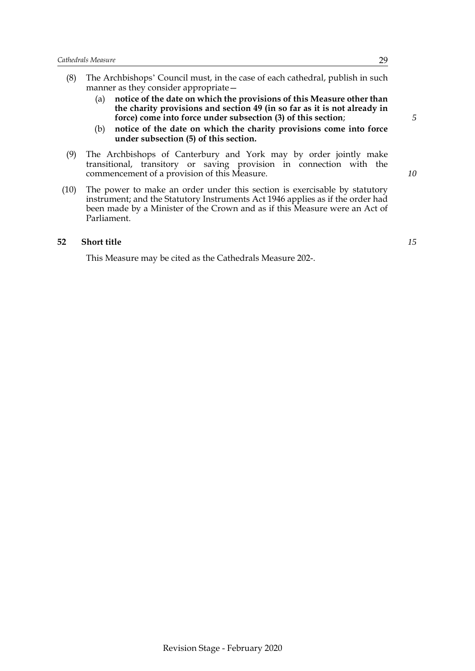- (8) The Archbishops' Council must, in the case of each cathedral, publish in such manner as they consider appropriate—
	- (a) **notice of the date on which the provisions of this Measure other than the charity provisions and section 49 (in so far as it is not already in force) come into force under subsection (3) of this section**;
	- (b) **notice of the date on which the charity provisions come into force under subsection (5) of this section.**
- (9) The Archbishops of Canterbury and York may by order jointly make transitional, transitory or saving provision in connection with the commencement of a provision of this Measure.
- (10) The power to make an order under this section is exercisable by statutory instrument; and the Statutory Instruments Act 1946 applies as if the order had been made by a Minister of the Crown and as if this Measure were an Act of Parliament.

### **52 Short title**

<span id="page-32-0"></span>This Measure may be cited as the Cathedrals Measure 202-.

*10*

*15*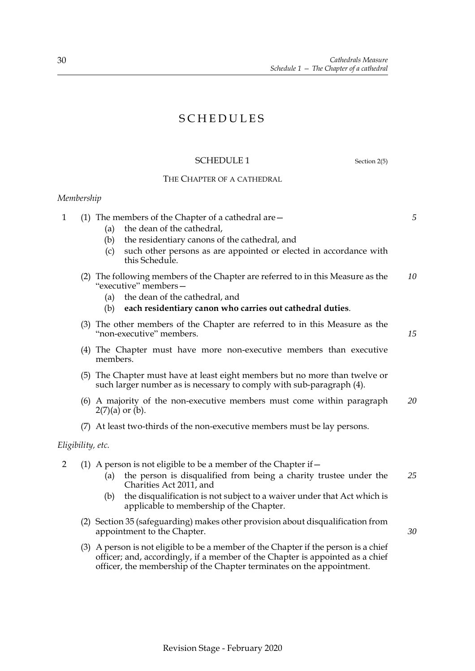# SCHEDULES

### <span id="page-33-0"></span>SCHEDULE 1 Section [2\(](#page-4-1)5)

## THE CHAPTER OF A CATHEDRAL

# <span id="page-33-1"></span>*Membership*

| the dean of the cathedral,<br>(a)<br>the residentiary canons of the cathedral, and<br>(b)<br>such other persons as are appointed or elected in accordance with<br>(c)<br>this Schedule.                                           | 5                                                                                                                                                                                                                                                                                                                                                                                                                                                                                                                                                                                                                                                                                                                                                                                                        |
|-----------------------------------------------------------------------------------------------------------------------------------------------------------------------------------------------------------------------------------|----------------------------------------------------------------------------------------------------------------------------------------------------------------------------------------------------------------------------------------------------------------------------------------------------------------------------------------------------------------------------------------------------------------------------------------------------------------------------------------------------------------------------------------------------------------------------------------------------------------------------------------------------------------------------------------------------------------------------------------------------------------------------------------------------------|
| "executive" members-<br>(a) the dean of the cathedral, and<br>each residentiary canon who carries out cathedral duties.<br>(b)                                                                                                    | 10                                                                                                                                                                                                                                                                                                                                                                                                                                                                                                                                                                                                                                                                                                                                                                                                       |
| "non-executive" members.                                                                                                                                                                                                          | 15                                                                                                                                                                                                                                                                                                                                                                                                                                                                                                                                                                                                                                                                                                                                                                                                       |
| members.                                                                                                                                                                                                                          |                                                                                                                                                                                                                                                                                                                                                                                                                                                                                                                                                                                                                                                                                                                                                                                                          |
| such larger number as is necessary to comply with sub-paragraph (4).                                                                                                                                                              |                                                                                                                                                                                                                                                                                                                                                                                                                                                                                                                                                                                                                                                                                                                                                                                                          |
| $2(7)(a)$ or $(b)$ .                                                                                                                                                                                                              | 20                                                                                                                                                                                                                                                                                                                                                                                                                                                                                                                                                                                                                                                                                                                                                                                                       |
|                                                                                                                                                                                                                                   |                                                                                                                                                                                                                                                                                                                                                                                                                                                                                                                                                                                                                                                                                                                                                                                                          |
|                                                                                                                                                                                                                                   |                                                                                                                                                                                                                                                                                                                                                                                                                                                                                                                                                                                                                                                                                                                                                                                                          |
| the person is disqualified from being a charity trustee under the<br>(a)<br>Charities Act 2011, and<br>the disqualification is not subject to a waiver under that Act which is<br>(b)<br>applicable to membership of the Chapter. | 25                                                                                                                                                                                                                                                                                                                                                                                                                                                                                                                                                                                                                                                                                                                                                                                                       |
| appointment to the Chapter.                                                                                                                                                                                                       | 30                                                                                                                                                                                                                                                                                                                                                                                                                                                                                                                                                                                                                                                                                                                                                                                                       |
| officer; and, accordingly, if a member of the Chapter is appointed as a chief<br>officer, the membership of the Chapter terminates on the appointment.                                                                            |                                                                                                                                                                                                                                                                                                                                                                                                                                                                                                                                                                                                                                                                                                                                                                                                          |
|                                                                                                                                                                                                                                   | (1) The members of the Chapter of a cathedral are $-$<br>(2) The following members of the Chapter are referred to in this Measure as the<br>(3) The other members of the Chapter are referred to in this Measure as the<br>(4) The Chapter must have more non-executive members than executive<br>(5) The Chapter must have at least eight members but no more than twelve or<br>(6) A majority of the non-executive members must come within paragraph<br>(7) At least two-thirds of the non-executive members must be lay persons.<br>Eligibility, etc.<br>(1) A person is not eligible to be a member of the Chapter if $-$<br>(2) Section 35 (safeguarding) makes other provision about disqualification from<br>(3) A person is not eligible to be a member of the Chapter if the person is a chief |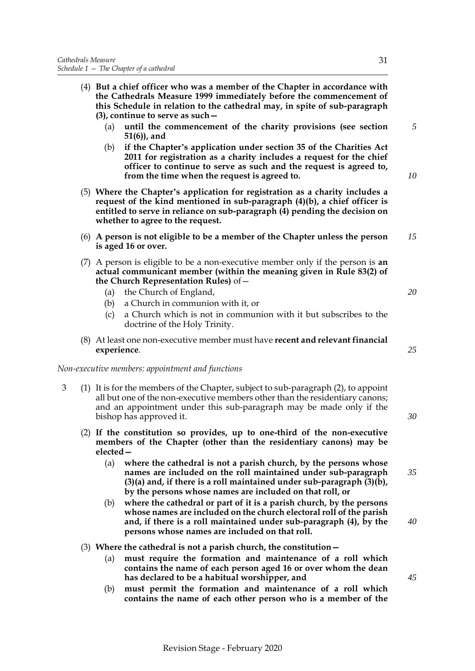*10*

*15*

*20*

*25*

*30*

*35*

*40*

(4) **But a chief officer who was a member of the Chapter in accordance with the Cathedrals Measure 1999 immediately before the commencement of this Schedule in relation to the cathedral may, in spite of sub-paragraph (3), continue to serve as such—** (a) **until the commencement of the charity provisions (see section [51\(](#page-30-1)6)), and** (b) **if the Chapter's application under section 35 of the Charities Act 2011 for registration as a charity includes a request for the chief officer to continue to serve as such and the request is agreed to, from the time when the request is agreed to.** (5) **Where the Chapter's application for registration as a charity includes a request of the kind mentioned in sub-paragraph (4)(b), a chief officer is entitled to serve in reliance on sub-paragraph (4) pending the decision on whether to agree to the request.** (6) **A person is not eligible to be a member of the Chapter unless the person is aged 16 or over.** (7) A person is eligible to be a non-executive member only if the person is **an actual communicant member (within the meaning given in Rule 83(2) of the Church Representation Rules)** of—

- (a) the Church of England,
- (b) a Church in communion with it, or
- (c) a Church which is not in communion with it but subscribes to the doctrine of the Holy Trinity.
- (8) At least one non-executive member must have **recent and relevant financial experience**.

*Non-executive members: appointment and functions*

- 3 (1) It is for the members of the Chapter, subject to sub-paragraph (2), to appoint all but one of the non-executive members other than the residentiary canons; and an appointment under this sub-paragraph may be made only if the bishop has approved it.
	- (2) **If the constitution so provides, up to one-third of the non-executive members of the Chapter (other than the residentiary canons) may be elected—**
		- (a) **where the cathedral is not a parish church, by the persons whose names are included on the roll maintained under sub-paragraph (3)(a) and, if there is a roll maintained under sub-paragraph (3)(b), by the persons whose names are included on that roll, or**
		- (b) **where the cathedral or part of it is a parish church, by the persons whose names are included on the church electoral roll of the parish and, if there is a roll maintained under sub-paragraph (4), by the persons whose names are included on that roll.**
	- (3) **Where the cathedral is not a parish church, the constitution—**
		- (a) **must require the formation and maintenance of a roll which contains the name of each person aged 16 or over whom the dean has declared to be a habitual worshipper, and**
		- (b) **must permit the formation and maintenance of a roll which contains the name of each other person who is a member of the**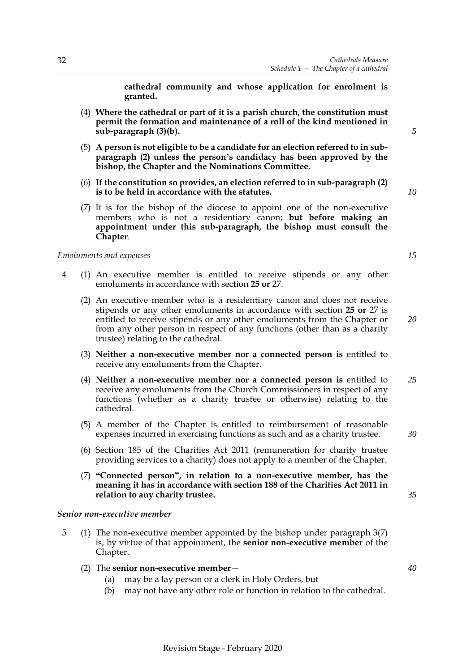**cathedral community and whose application for enrolment is granted.**

- (4) **Where the cathedral or part of it is a parish church, the constitution must permit the formation and maintenance of a roll of the kind mentioned in sub-paragraph (3)(b).**
- (5) **A person is not eligible to be a candidate for an election referred to in subparagraph (2) unless the person's candidacy has been approved by the bishop, the Chapter and the Nominations Committee.**
- (6) **If the constitution so provides, an election referred to in sub-paragraph (2) is to be held in accordance with the statutes.**
- (7) It is for the bishop of the diocese to appoint one of the non-executive members who is not a residentiary canon; **but before making an appointment under this sub-paragraph, the bishop must consult the Chapter**.

#### *Emoluments and expenses*

- 4 (1) An executive member is entitled to receive stipends or any other emoluments in accordance with section **[2](#page-17-1)5 or** [27](#page-18-0).
	- (2) An executive member who is a residentiary canon and does not receive stipends or any other emoluments in accordance with section **25 or** [27](#page-18-0) is entitled to receive stipends or any other emoluments from the Chapter or from any other person in respect of any functions (other than as a charity trustee) relating to the cathedral.
	- (3) **Neither a non-executive member nor a connected person is** entitled to receive any emoluments from the Chapter.
	- (4) **Neither a non-executive member nor a connected person is** entitled to receive any emoluments from the Church Commissioners in respect of any functions (whether as a charity trustee or otherwise) relating to the cathedral. *25*
	- (5) A member of the Chapter is entitled to reimbursement of reasonable expenses incurred in exercising functions as such and as a charity trustee.
	- (6) Section 185 of the Charities Act 2011 (remuneration for charity trustee providing services to a charity) does not apply to a member of the Chapter.
	- (7) **"Connected person", in relation to a non-executive member, has the meaning it has in accordance with section 188 of the Charities Act 2011 in relation to any charity trustee.**

### *Senior non-executive member*

- 5 (1) The non-executive member appointed by the bishop under paragraph 3(7) is, by virtue of that appointment, the **senior non-executive member** of the Chapter.
	- (2) The **senior non-executive member**
		- (a) may be a lay person or a clerk in Holy Orders, but
		- (b) may not have any other role or function in relation to the cathedral.

Revision Stage - February 2020

*35*

*40*

*30*

*10*

*5*

*20*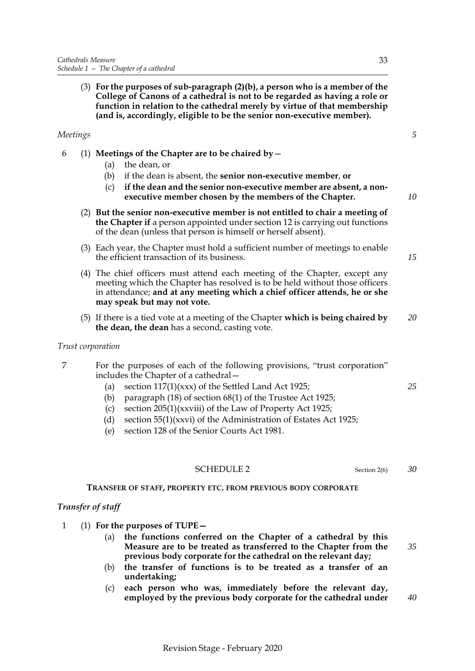(3) **For the purposes of sub-paragraph (2)(b), a person who is a member of the College of Canons of a cathedral is not to be regarded as having a role or function in relation to the cathedral merely by virtue of that membership (and is, accordingly, eligible to be the senior non-executive member).**

### *Meetings*

- 6 (1) **Meetings of the Chapter are to be chaired by**
	- (a) the dean, or
	- (b) if the dean is absent, the **senior non-executive member**, **or**
	- (c) **if the dean and the senior non-executive member are absent, a nonexecutive member chosen by the members of the Chapter.**
	- (2) **But the senior non-executive member is not entitled to chair a meeting of the Chapter if** a person appointed under section [12](#page-10-0) is carrying out functions of the dean (unless that person is himself or herself absent).
	- (3) Each year, the Chapter must hold a sufficient number of meetings to enable the efficient transaction of its business.
	- (4) The chief officers must attend each meeting of the Chapter, except any meeting which the Chapter has resolved is to be held without those officers in attendance; **and at any meeting which a chief officer attends, he or she may speak but may not vote.**
	- (5) If there is a tied vote at a meeting of the Chapter **which is being chaired by the dean, the dean** has a second, casting vote. *20*

### *Trust corporation*

- 7 For the purposes of each of the following provisions, "trust corporation" includes the Chapter of a cathedral—
	- (a) section  $117(1)(xxx)$  of the Settled Land Act 1925;
	- (b) paragraph (18) of section 68(1) of the Trustee Act 1925;
	- (c) section 205(1)(xxviii) of the Law of Property Act 1925;
	- (d) section 55(1)(xxvi) of the Administration of Estates Act 1925;
	- (e) section 128 of the Senior Courts Act 1981.

### <span id="page-36-0"></span>SCHEDULE 2 Section [2\(](#page-4-1)6)

### **TRANSFER OF STAFF, PROPERTY ETC. FROM PREVIOUS BODY CORPORATE**

### *Transfer of staff*

- 1 (1) **For the purposes of TUPE—**
	- (a) **the functions conferred on the Chapter of a cathedral by this Measure are to be treated as transferred to the Chapter from the previous body corporate for the cathedral on the relevant day;**
	- (b) **the transfer of functions is to be treated as a transfer of an undertaking;**
	- (c) **each person who was, immediately before the relevant day, employed by the previous body corporate for the cathedral under**

*40*

*35*

### *25*

*5*

*10*

*15*

33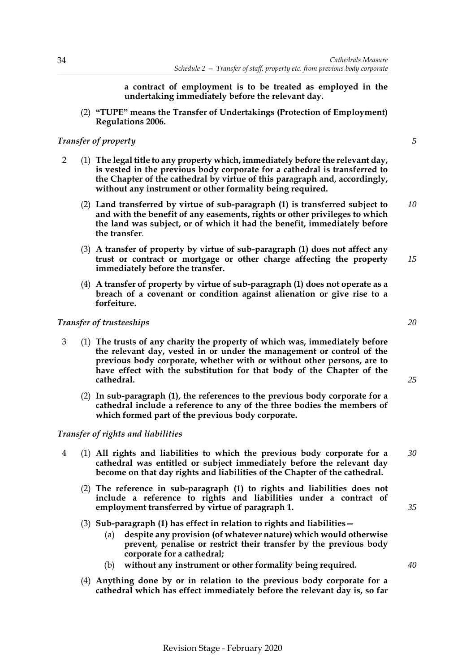**a contract of employment is to be treated as employed in the undertaking immediately before the relevant day.**

(2) **"TUPE" means the Transfer of Undertakings (Protection of Employment) Regulations 2006.**

### *Transfer of property*

- 2 (1) **The legal title to any property which, immediately before the relevant day, is vested in the previous body corporate for a cathedral is transferred to the Chapter of the cathedral by virtue of this paragraph and, accordingly, without any instrument or other formality being required.**
	- (2) **Land transferred by virtue of sub-paragraph (1) is transferred subject to and with the benefit of any easements, rights or other privileges to which the land was subject, or of which it had the benefit, immediately before the transfer**. *10*
	- (3) **A transfer of property by virtue of sub-paragraph (1) does not affect any trust or contract or mortgage or other charge affecting the property immediately before the transfer.**
	- (4) **A transfer of property by virtue of sub-paragraph (1) does not operate as a breach of a covenant or condition against alienation or give rise to a forfeiture.**

### *Transfer of trusteeships*

- 3 (1) **The trusts of any charity the property of which was, immediately before the relevant day, vested in or under the management or control of the previous body corporate, whether with or without other persons, are to have effect with the substitution for that body of the Chapter of the cathedral.**
	- (2) **In sub-paragraph (1), the references to the previous body corporate for a cathedral include a reference to any of the three bodies the members of which formed part of the previous body corporate.**

### *Transfer of rights and liabilities*

- 4 (1) **All rights and liabilities to which the previous body corporate for a cathedral was entitled or subject immediately before the relevant day become on that day rights and liabilities of the Chapter of the cathedral.** *30*
	- (2) **The reference in sub-paragraph (1) to rights and liabilities does not include a reference to rights and liabilities under a contract of employment transferred by virtue of paragraph 1.**
	- (3) **Sub-paragraph (1) has effect in relation to rights and liabilities—**
		- (a) **despite any provision (of whatever nature) which would otherwise prevent, penalise or restrict their transfer by the previous body corporate for a cathedral;**
		- (b) **without any instrument or other formality being required.**
	- (4) **Anything done by or in relation to the previous body corporate for a cathedral which has effect immediately before the relevant day is, so far**

Revision Stage - February 2020

*5*

*20*

*25*

*15*

*35*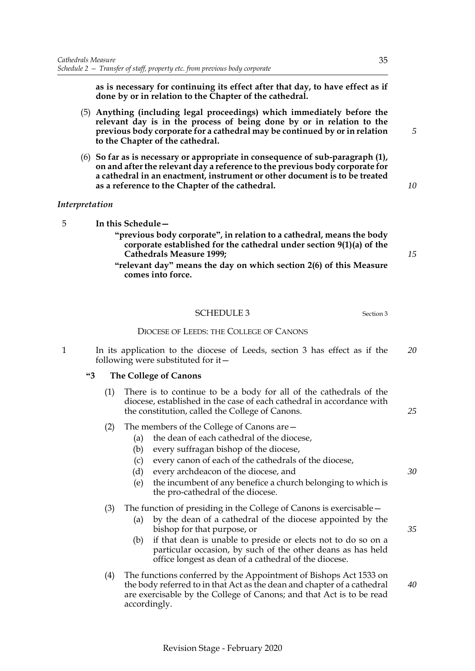**as is necessary for continuing its effect after that day, to have effect as if done by or in relation to the Chapter of the cathedral.**

- (5) **Anything (including legal proceedings) which immediately before the relevant day is in the process of being done by or in relation to the previous body corporate for a cathedral may be continued by or in relation to the Chapter of the cathedral.**
- (6) **So far as is necessary or appropriate in consequence of sub-paragraph (1), on and after the relevant day a reference to the previous body corporate for a cathedral in an enactment, instrument or other document is to be treated as a reference to the Chapter of the cathedral.**

### *Interpretation*

- 5 **In this Schedule—**
	- **"previous body corporate", in relation to a cathedral, means the body corporate established for the cathedral under section 9(1)(a) of the Cathedrals Measure 1999;**
	- **"relevant day" means the day on which section [2\(](#page-4-1)6) of this Measure comes into force.**

# <span id="page-38-0"></span>SCHEDULE [3](#page-4-2) Section 3

### DIOCESE OF LEEDS: THE COLLEGE OF CANONS

1 In its application to the diocese of Leeds, section [3](#page-4-2) has effect as if the following were substituted for it— *20*

### **"3 The College of Canons**

- (1) There is to continue to be a body for all of the cathedrals of the diocese, established in the case of each cathedral in accordance with the constitution, called the College of Canons.
- (2) The members of the College of Canons are—
	- (a) the dean of each cathedral of the diocese,
	- (b) every suffragan bishop of the diocese,
	- (c) every canon of each of the cathedrals of the diocese,
	- (d) every archdeacon of the diocese, and
	- (e) the incumbent of any benefice a church belonging to which is the pro-cathedral of the diocese.

### (3) The function of presiding in the College of Canons is exercisable—

- (a) by the dean of a cathedral of the diocese appointed by the bishop for that purpose, or
- (b) if that dean is unable to preside or elects not to do so on a particular occasion, by such of the other deans as has held office longest as dean of a cathedral of the diocese.
- (4) The functions conferred by the Appointment of Bishops Act 1533 on the body referred to in that Act as the dean and chapter of a cathedral are exercisable by the College of Canons; and that Act is to be read accordingly.

*5*

*10*

*15*

*25*

*30*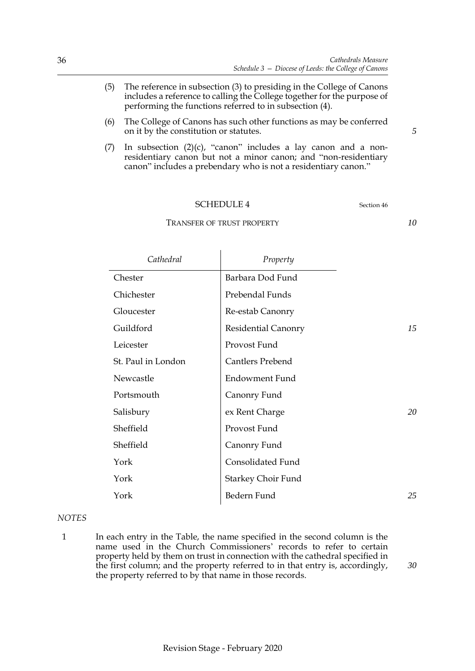- (5) The reference in subsection (3) to presiding in the College of Canons includes a reference to calling the College together for the purpose of performing the functions referred to in subsection (4).
- (6) The College of Canons has such other functions as may be conferred on it by the constitution or statutes.
- (7) In subsection  $(2)(c)$ , "canon" includes a lay canon and a nonresidentiary canon but not a minor canon; and "non-residentiary canon" includes a prebendary who is not a residentiary canon."

<span id="page-39-0"></span>TRANSFER OF TRUST PROPERTY

| Cathedral          | Property                  |    |
|--------------------|---------------------------|----|
| Chester            | Barbara Dod Fund          |    |
| Chichester         | Prebendal Funds           |    |
| Gloucester         | Re-estab Canonry          |    |
| Guildford          | Residential Canonry       | 15 |
| Leicester          | Provost Fund              |    |
| St. Paul in London | <b>Cantlers Prebend</b>   |    |
| Newcastle          | Endowment Fund            |    |
| Portsmouth         | Canonry Fund              |    |
| Salisbury          | ex Rent Charge            | 20 |
| Sheffield          | Provost Fund              |    |
| Sheffield          | Canonry Fund              |    |
| York               | Consolidated Fund         |    |
| York               | <b>Starkey Choir Fund</b> |    |
| York               | Bedern Fund               | 25 |

### *NOTES*

1 In each entry in the Table, the name specified in the second column is the name used in the Church Commissioners' records to refer to certain property held by them on trust in connection with the cathedral specified in the first column; and the property referred to in that entry is, accordingly, the property referred to by that name in those records.

*5*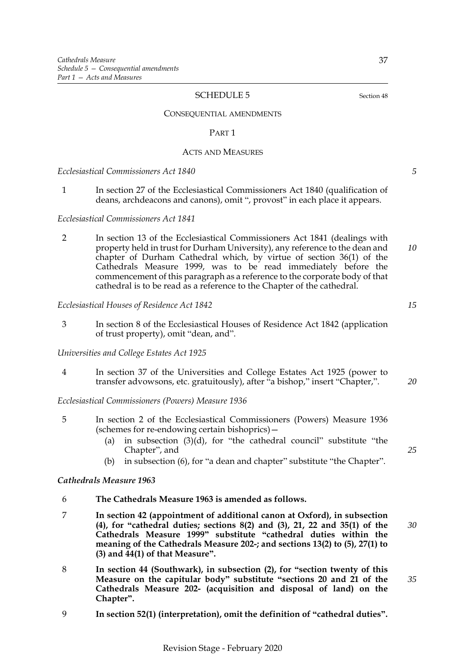#### CONSEQUENTIAL AMENDMENTS

#### <span id="page-40-0"></span>PART 1

#### ACTS AND MEASURES

*Ecclesiastical Commissioners Act 1840*

1 In section 27 of the Ecclesiastical Commissioners Act 1840 (qualification of deans, archdeacons and canons), omit ", provost" in each place it appears.

*Ecclesiastical Commissioners Act 1841*

2 In section 13 of the Ecclesiastical Commissioners Act 1841 (dealings with property held in trust for Durham University), any reference to the dean and chapter of Durham Cathedral which, by virtue of section 36(1) of the Cathedrals Measure 1999, was to be read immediately before the commencement of this paragraph as a reference to the corporate body of that cathedral is to be read as a reference to the Chapter of the cathedral.

#### *Ecclesiastical Houses of Residence Act 1842*

3 In section 8 of the Ecclesiastical Houses of Residence Act 1842 (application of trust property), omit "dean, and".

*Universities and College Estates Act 1925*

4 In section 37 of the Universities and College Estates Act 1925 (power to transfer advowsons, etc. gratuitously), after "a bishop," insert "Chapter,".

*Ecclesiastical Commissioners (Powers) Measure 1936*

- 5 In section 2 of the Ecclesiastical Commissioners (Powers) Measure 1936 (schemes for re-endowing certain bishoprics)—
	- (a) in subsection  $(3)(d)$ , for "the cathedral council" substitute "the Chapter", and
	- (b) in subsection (6), for "a dean and chapter" substitute "the Chapter".

#### *Cathedrals Measure 1963*

- 6 **The Cathedrals Measure 1963 is amended as follows.**
- 7 **In section 42 (appointment of additional canon at Oxford), in subsection (4), for "cathedral duties; sections 8(2) and (3), 21, 22 and 35(1) of the Cathedrals Measure 1999" substitute "cathedral duties within the meaning of the Cathedrals Measure 202-; and sections [13\(](#page-11-0)2) to (5), [27](#page-18-0)(1) to (3) and [44](#page-26-2)(1) of that Measure".** *30*
- 8 **In section 44 (Southwark), in subsection (2), for "section twenty of this Measure on the capitular body" substitute "sections [20](#page-14-1) and [21](#page-15-0) of the Cathedrals Measure 202- (acquisition and disposal of land) on the Chapter".**
- 9 **In section 52(1) (interpretation), omit the definition of "cathedral duties".**

*35*

*15*

*10*

*5*

*25*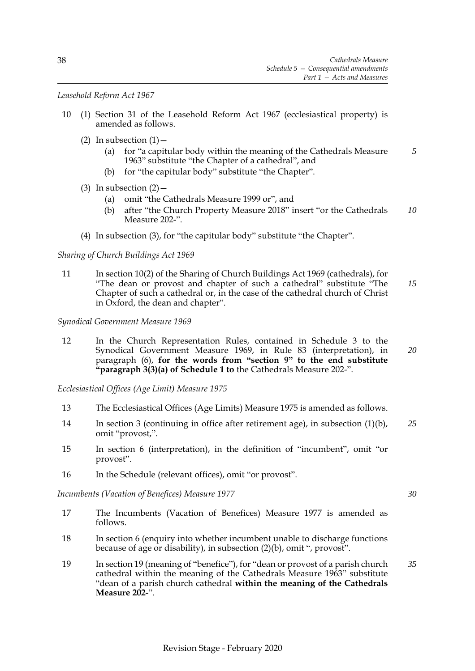*Leasehold Reform Act 1967*

- 10 (1) Section 31 of the Leasehold Reform Act 1967 (ecclesiastical property) is amended as follows.
	- (2) In subsection  $(1)$ 
		- (a) for "a capitular body within the meaning of the Cathedrals Measure 1963" substitute "the Chapter of a cathedral", and *5*
		- (b) for "the capitular body" substitute "the Chapter".
	- (3) In subsection  $(2)$  -
		- (a) omit "the Cathedrals Measure 1999 or", and
		- (b) after "the Church Property Measure 2018" insert "or the Cathedrals Measure 202-". *10*
	- (4) In subsection (3), for "the capitular body" substitute "the Chapter".

### *Sharing of Church Buildings Act 1969*

11 In section 10(2) of the Sharing of Church Buildings Act 1969 (cathedrals), for "The dean or provost and chapter of such a cathedral" substitute "The Chapter of such a cathedral or, in the case of the cathedral church of Christ in Oxford, the dean and chapter". *15*

*Synodical Government Measure 1969*

12 In the Church Representation Rules, contained in Schedule 3 to the Synodical Government Measure 1969, in Rule 83 (interpretation), in paragraph (6), **for the words from "section 9" to the end substitute "paragraph 3(3)(a) of Schedule [1](#page-33-1) to** the Cathedrals Measure 202-". *20*

*Ecclesiastical Offices (Age Limit) Measure 1975*

- 13 The Ecclesiastical Offices (Age Limits) Measure 1975 is amended as follows.
- 14 In section 3 (continuing in office after retirement age), in subsection (1)(b), omit "provost,". *25*
- 15 In section 6 (interpretation), in the definition of "incumbent", omit "or provost".
- 16 In the Schedule (relevant offices), omit "or provost".

*Incumbents (Vacation of Benefices) Measure 1977*

- 17 The Incumbents (Vacation of Benefices) Measure 1977 is amended as follows.
- 18 In section 6 (enquiry into whether incumbent unable to discharge functions because of age or disability), in subsection (2)(b), omit ", provost".
- 19 In section 19 (meaning of "benefice"), for "dean or provost of a parish church cathedral within the meaning of the Cathedrals Measure 1963" substitute "dean of a parish church cathedral **within the meaning of the Cathedrals Measure 202-**". *35*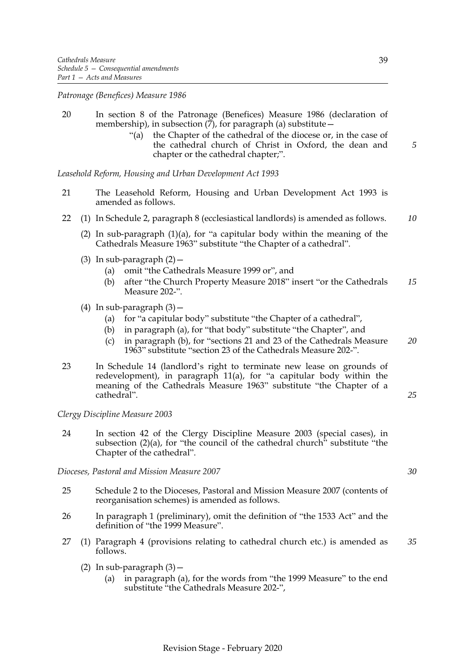*Patronage (Benefices) Measure 1986*

- 20 In section 8 of the Patronage (Benefices) Measure 1986 (declaration of membership), in subsection  $(7)$ , for paragraph  $(a)$  substitute  $-$ 
	- "(a) the Chapter of the cathedral of the diocese or, in the case of the cathedral church of Christ in Oxford, the dean and chapter or the cathedral chapter;".

*Leasehold Reform, Housing and Urban Development Act 1993*

- 21 The Leasehold Reform, Housing and Urban Development Act 1993 is amended as follows.
- 22 (1) In Schedule 2, paragraph 8 (ecclesiastical landlords) is amended as follows. *10*
	- (2) In sub-paragraph  $(1)(a)$ , for "a capitular body within the meaning of the Cathedrals Measure 1963" substitute "the Chapter of a cathedral".
	- (3) In sub-paragraph  $(2)$  -
		- (a) omit "the Cathedrals Measure 1999 or", and
		- (b) after "the Church Property Measure 2018" insert "or the Cathedrals Measure 202-". *15*
	- (4) In sub-paragraph  $(3)$  -
		- (a) for "a capitular body" substitute "the Chapter of a cathedral",
		- (b) in paragraph (a), for "that body" substitute "the Chapter", and
		- (c) in paragraph (b), for "sections 21 and 23 of the Cathedrals Measure 1963" substitute "section [23](#page-16-1) of the Cathedrals Measure 202-". *20*
- 23 In Schedule 14 (landlord's right to terminate new lease on grounds of redevelopment), in paragraph 11(a), for "a capitular body within the meaning of the Cathedrals Measure 1963" substitute "the Chapter of a cathedral".

### *Clergy Discipline Measure 2003*

24 In section 42 of the Clergy Discipline Measure 2003 (special cases), in subsection  $(2)(a)$ , for "the council of the cathedral church" substitute "the Chapter of the cathedral".

*Dioceses, Pastoral and Mission Measure 2007*

- 25 Schedule 2 to the Dioceses, Pastoral and Mission Measure 2007 (contents of reorganisation schemes) is amended as follows.
- 26 In paragraph 1 (preliminary), omit the definition of "the 1533 Act" and the definition of "the 1999 Measure".
- 27 (1) Paragraph 4 (provisions relating to cathedral church etc.) is amended as follows. *35*
	- (2) In sub-paragraph  $(3)$  -
		- (a) in paragraph (a), for the words from "the 1999 Measure" to the end substitute "the Cathedrals Measure 202-",

*5*

*25*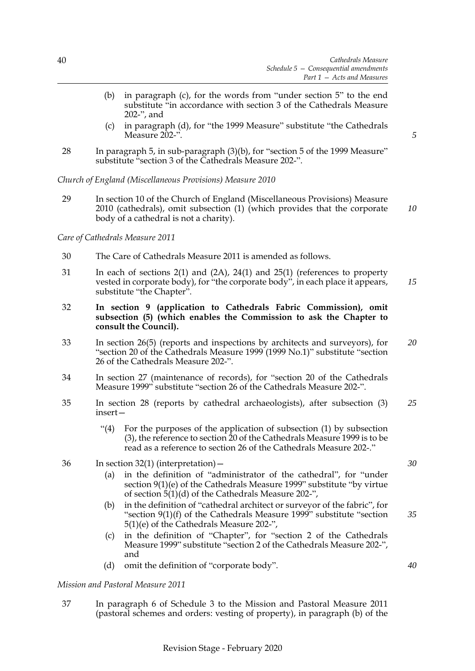- (b) in paragraph (c), for the words from "under section 5" to the end substitute "in accordance with section [3](#page-4-2) of the Cathedrals Measure 202-", and
- (c) in paragraph (d), for "the 1999 Measure" substitute "the Cathedrals Measure 202-".
- 28 In paragraph 5, in sub-paragraph (3)(b), for "section 5 of the 1999 Measure" substitute "section [3](#page-4-2) of the Cathedrals Measure 202-".

*Church of England (Miscellaneous Provisions) Measure 2010*

29 In section 10 of the Church of England (Miscellaneous Provisions) Measure 2010 (cathedrals), omit subsection (1) (which provides that the corporate body of a cathedral is not a charity).

*Care of Cathedrals Measure 2011*

- 30 The Care of Cathedrals Measure 2011 is amended as follows.
- 31 In each of sections 2(1) and (2A), 24(1) and 25(1) (references to property vested in corporate body), for "the corporate body", in each place it appears, substitute "the Chapter". *15*
- 32 **In section 9 (application to Cathedrals Fabric Commission), omit subsection (5) (which enables the Commission to ask the Chapter to consult the Council).**
- 33 In section 26(5) (reports and inspections by architects and surveyors), for "section 20 of the Cathedrals Measure 1999 (1999 No.1)" substitute "section [26](#page-17-2) of the Cathedrals Measure 202-". *20*
- 34 In section 27 (maintenance of records), for "section 20 of the Cathedrals Measure 1999" substitute "section [26](#page-17-2) of the Cathedrals Measure 202-".
- 35 In section 28 (reports by cathedral archaeologists), after subsection (3) insert— *25*
	- "(4) For the purposes of the application of subsection (1) by subsection (3), the reference to section 20 of the Cathedrals Measure 1999 is to be read as a reference to section [26](#page-17-2) of the Cathedrals Measure 202-."
- 36 In section 32(1) (interpretation)—
	- (a) in the definition of "administrator of the cathedral", for "under section 9(1)(e) of the Cathedrals Measure 1999" substitute "by virtue of section  $5(1)(d)$  $5(1)(d)$  of the Cathedrals Measure 202-",
	- (b) in the definition of "cathedral architect or surveyor of the fabric", for "section 9(1)(f) of the Cathedrals Measure 1999" substitute "section [5](#page-5-1)(1)(e) of the Cathedrals Measure 202-",
	- (c) in the definition of "Chapter", for "section 2 of the Cathedrals Measure 1999" substitute "section [2](#page-4-1) of the Cathedrals Measure 202-", and
	- (d) omit the definition of "corporate body".

#### *Mission and Pastoral Measure 2011*

37 In paragraph 6 of Schedule 3 to the Mission and Pastoral Measure 2011 (pastoral schemes and orders: vesting of property), in paragraph (b) of the *30*

*35*

*40*

*5*